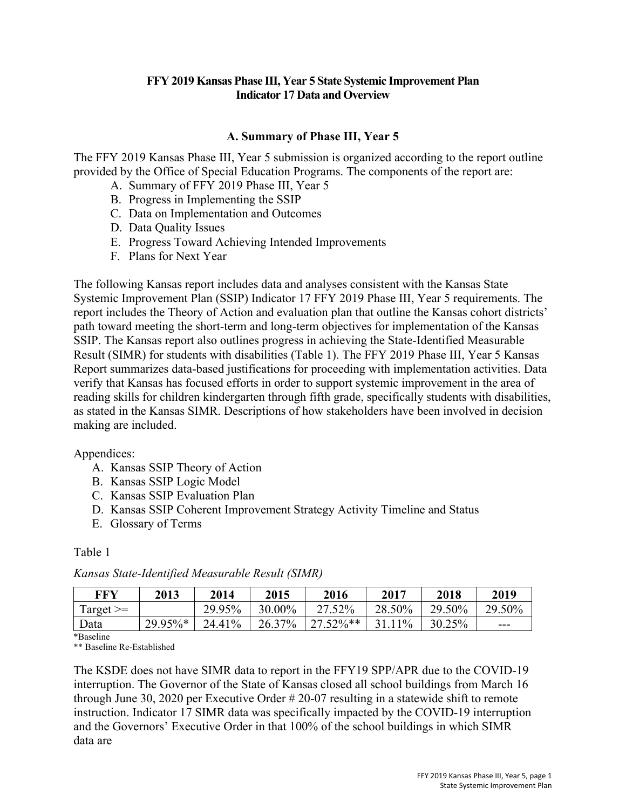## **FFY 2019 Kansas Phase III, Year 5 State Systemic Improvement Plan Indicator 17 Data and Overview**

## **A. Summary of Phase III, Year 5**

The FFY 2019 Kansas Phase III, Year 5 submission is organized according to the report outline provided by the Office of Special Education Programs. The components of the report are:

- A. Summary of FFY 2019 Phase III, Year 5
- B. Progress in Implementing the SSIP
- C. Data on Implementation and Outcomes
- D. Data Quality Issues
- E. Progress Toward Achieving Intended Improvements
- F. Plans for Next Year

The following Kansas report includes data and analyses consistent with the Kansas State Systemic Improvement Plan (SSIP) Indicator 17 FFY 2019 Phase III, Year 5 requirements. The report includes the Theory of Action and evaluation plan that outline the Kansas cohort districts' path toward meeting the short-term and long-term objectives for implementation of the Kansas SSIP. The Kansas report also outlines progress in achieving the State-Identified Measurable Result (SIMR) for students with disabilities (Table 1). The FFY 2019 Phase III, Year 5 Kansas Report summarizes data-based justifications for proceeding with implementation activities. Data verify that Kansas has focused efforts in order to support systemic improvement in the area of reading skills for children kindergarten through fifth grade, specifically students with disabilities, as stated in the Kansas SIMR. Descriptions of how stakeholders have been involved in decision making are included.

#### Appendices:

- A. Kansas SSIP Theory of Action
- B. Kansas SSIP Logic Model
- C. Kansas SSIP Evaluation Plan
- D. Kansas SSIP Coherent Improvement Strategy Activity Timeline and Status
- E. Glossary of Terms

## Table 1

| FFY           | 2013    | 2014   | 2015   | 2016         | 2017   | 2018   | 2019   |
|---------------|---------|--------|--------|--------------|--------|--------|--------|
| $Target \geq$ |         | 29.95% | 30.00% | 27.52%       | 28.50% | 29.50% | 29.50% |
| Data          | 29.95%* | 24.41% | 26.37% | $27.52\%$ ** | 31.11% | 30.25% | ---    |

*Kansas State-Identified Measurable Result (SIMR)*

Baseline

\*\* Baseline Re-Established

The KSDE does not have SIMR data to report in the FFY19 SPP/APR due to the COVID-19 interruption. The Governor of the State of Kansas closed all school buildings from March 16 through June 30, 2020 per Executive Order # 20-07 resulting in a statewide shift to remote instruction. Indicator 17 SIMR data was specifically impacted by the COVID-19 interruption and the Governors' Executive Order in that 100% of the school buildings in which SIMR data are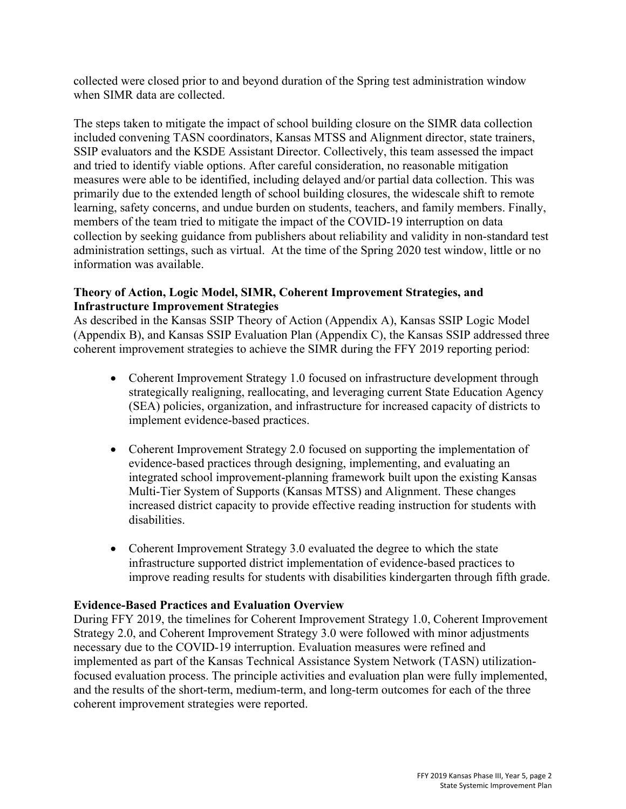collected were closed prior to and beyond duration of the Spring test administration window when SIMR data are collected.

The steps taken to mitigate the impact of school building closure on the SIMR data collection included convening TASN coordinators, Kansas MTSS and Alignment director, state trainers, SSIP evaluators and the KSDE Assistant Director. Collectively, this team assessed the impact and tried to identify viable options. After careful consideration, no reasonable mitigation measures were able to be identified, including delayed and/or partial data collection. This was primarily due to the extended length of school building closures, the widescale shift to remote learning, safety concerns, and undue burden on students, teachers, and family members. Finally, members of the team tried to mitigate the impact of the COVID-19 interruption on data collection by seeking guidance from publishers about reliability and validity in non-standard test administration settings, such as virtual. At the time of the Spring 2020 test window, little or no information was available.

## **Theory of Action, Logic Model, SIMR, Coherent Improvement Strategies, and Infrastructure Improvement Strategies**

As described in the Kansas SSIP Theory of Action (Appendix A), Kansas SSIP Logic Model (Appendix B), and Kansas SSIP Evaluation Plan (Appendix C), the Kansas SSIP addressed three coherent improvement strategies to achieve the SIMR during the FFY 2019 reporting period:

- Coherent Improvement Strategy 1.0 focused on infrastructure development through strategically realigning, reallocating, and leveraging current State Education Agency (SEA) policies, organization, and infrastructure for increased capacity of districts to implement evidence-based practices.
- Coherent Improvement Strategy 2.0 focused on supporting the implementation of evidence-based practices through designing, implementing, and evaluating an integrated school improvement-planning framework built upon the existing Kansas Multi-Tier System of Supports (Kansas MTSS) and Alignment. These changes increased district capacity to provide effective reading instruction for students with disabilities.
- Coherent Improvement Strategy 3.0 evaluated the degree to which the state infrastructure supported district implementation of evidence-based practices to improve reading results for students with disabilities kindergarten through fifth grade.

## **Evidence-Based Practices and Evaluation Overview**

During FFY 2019, the timelines for Coherent Improvement Strategy 1.0, Coherent Improvement Strategy 2.0, and Coherent Improvement Strategy 3.0 were followed with minor adjustments necessary due to the COVID-19 interruption. Evaluation measures were refined and implemented as part of the Kansas Technical Assistance System Network (TASN) utilizationfocused evaluation process. The principle activities and evaluation plan were fully implemented, and the results of the short-term, medium-term, and long-term outcomes for each of the three coherent improvement strategies were reported.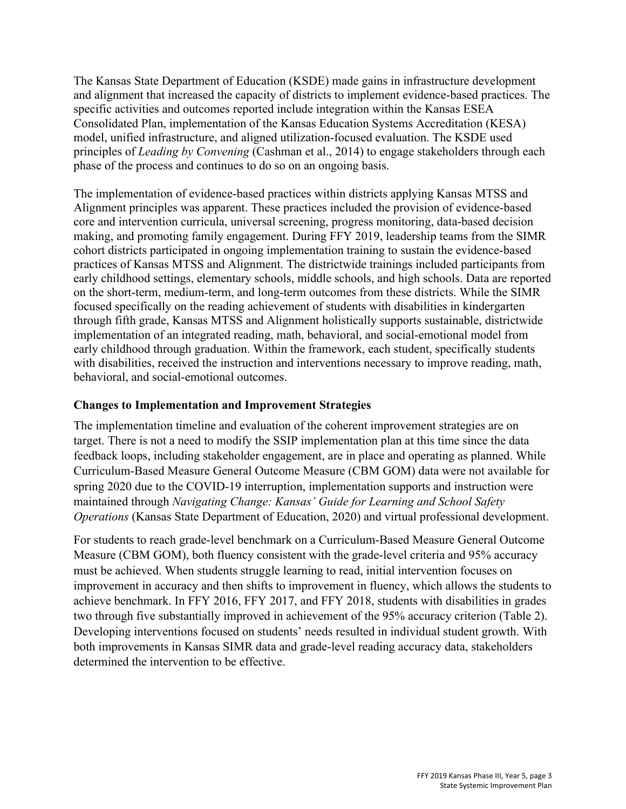The Kansas State Department of Education (KSDE) made gains in infrastructure development and alignment that increased the capacity of districts to implement evidence-based practices. The specific activities and outcomes reported include integration within the Kansas ESEA Consolidated Plan, implementation of the Kansas Education Systems Accreditation (KESA) model, unified infrastructure, and aligned utilization-focused evaluation. The KSDE used principles of *Leading by Convening* (Cashman et al., 2014) to engage stakeholders through each phase of the process and continues to do so on an ongoing basis.

The implementation of evidence-based practices within districts applying Kansas MTSS and Alignment principles was apparent. These practices included the provision of evidence-based core and intervention curricula, universal screening, progress monitoring, data-based decision making, and promoting family engagement. During FFY 2019, leadership teams from the SIMR cohort districts participated in ongoing implementation training to sustain the evidence-based practices of Kansas MTSS and Alignment. The districtwide trainings included participants from early childhood settings, elementary schools, middle schools, and high schools. Data are reported on the short-term, medium-term, and long-term outcomes from these districts. While the SIMR focused specifically on the reading achievement of students with disabilities in kindergarten through fifth grade, Kansas MTSS and Alignment holistically supports sustainable, districtwide implementation of an integrated reading, math, behavioral, and social-emotional model from early childhood through graduation. Within the framework, each student, specifically students with disabilities, received the instruction and interventions necessary to improve reading, math, behavioral, and social-emotional outcomes.

#### **Changes to Implementation and Improvement Strategies**

The implementation timeline and evaluation of the coherent improvement strategies are on target. There is not a need to modify the SSIP implementation plan at this time since the data feedback loops, including stakeholder engagement, are in place and operating as planned. While Curriculum-Based Measure General Outcome Measure (CBM GOM) data were not available for spring 2020 due to the COVID-19 interruption, implementation supports and instruction were maintained through *Navigating Change: Kansas' Guide for Learning and School Safety Operations* (Kansas State Department of Education, 2020) and virtual professional development.

For students to reach grade-level benchmark on a Curriculum-Based Measure General Outcome Measure (CBM GOM), both fluency consistent with the grade-level criteria and 95% accuracy must be achieved. When students struggle learning to read, initial intervention focuses on improvement in accuracy and then shifts to improvement in fluency, which allows the students to achieve benchmark. In FFY 2016, FFY 2017, and FFY 2018, students with disabilities in grades two through five substantially improved in achievement of the 95% accuracy criterion (Table 2). Developing interventions focused on students' needs resulted in individual student growth. With both improvements in Kansas SIMR data and grade-level reading accuracy data, stakeholders determined the intervention to be effective.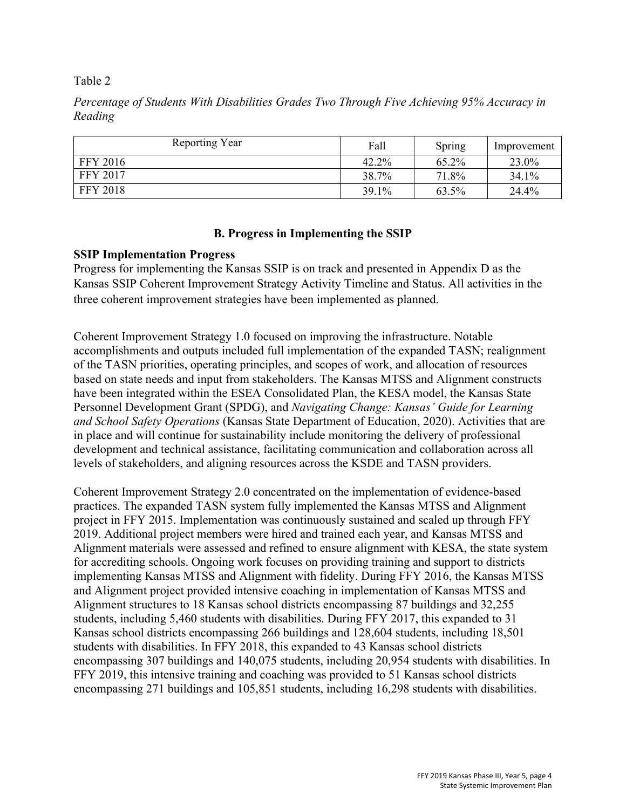Table 2

*Percentage of Students With Disabilities Grades Two Through Five Achieving 95% Accuracy in Reading* 

| Reporting Year  | Fall     | Spring | Improvement |
|-----------------|----------|--------|-------------|
| <b>FFY 2016</b> | $42.2\%$ | 65.2%  | 23.0%       |
| <b>FFY 2017</b> | 38.7%    | 71.8%  | $34.1\%$    |
| <b>FFY 2018</b> | 39.1%    | 63.5%  | 24.4%       |

## **B. Progress in Implementing the SSIP**

## **SSIP Implementation Progress**

Progress for implementing the Kansas SSIP is on track and presented in Appendix D as the Kansas SSIP Coherent Improvement Strategy Activity Timeline and Status. All activities in the three coherent improvement strategies have been implemented as planned.

Coherent Improvement Strategy 1.0 focused on improving the infrastructure. Notable accomplishments and outputs included full implementation of the expanded TASN; realignment of the TASN priorities, operating principles, and scopes of work, and allocation of resources based on state needs and input from stakeholders. The Kansas MTSS and Alignment constructs have been integrated within the ESEA Consolidated Plan, the KESA model, the Kansas State Personnel Development Grant (SPDG), and *Navigating Change: Kansas' Guide for Learning and School Safety Operations* (Kansas State Department of Education, 2020). Activities that are in place and will continue for sustainability include monitoring the delivery of professional development and technical assistance, facilitating communication and collaboration across all levels of stakeholders, and aligning resources across the KSDE and TASN providers.

Coherent Improvement Strategy 2.0 concentrated on the implementation of evidence-based practices. The expanded TASN system fully implemented the Kansas MTSS and Alignment project in FFY 2015. Implementation was continuously sustained and scaled up through FFY 2019. Additional project members were hired and trained each year, and Kansas MTSS and Alignment materials were assessed and refined to ensure alignment with KESA, the state system for accrediting schools. Ongoing work focuses on providing training and support to districts implementing Kansas MTSS and Alignment with fidelity. During FFY 2016, the Kansas MTSS and Alignment project provided intensive coaching in implementation of Kansas MTSS and Alignment structures to 18 Kansas school districts encompassing 87 buildings and 32,255 students, including 5,460 students with disabilities. During FFY 2017, this expanded to 31 Kansas school districts encompassing 266 buildings and 128,604 students, including 18,501 students with disabilities. In FFY 2018, this expanded to 43 Kansas school districts encompassing 307 buildings and 140,075 students, including 20,954 students with disabilities. In FFY 2019, this intensive training and coaching was provided to 51 Kansas school districts encompassing 271 buildings and 105,851 students, including 16,298 students with disabilities.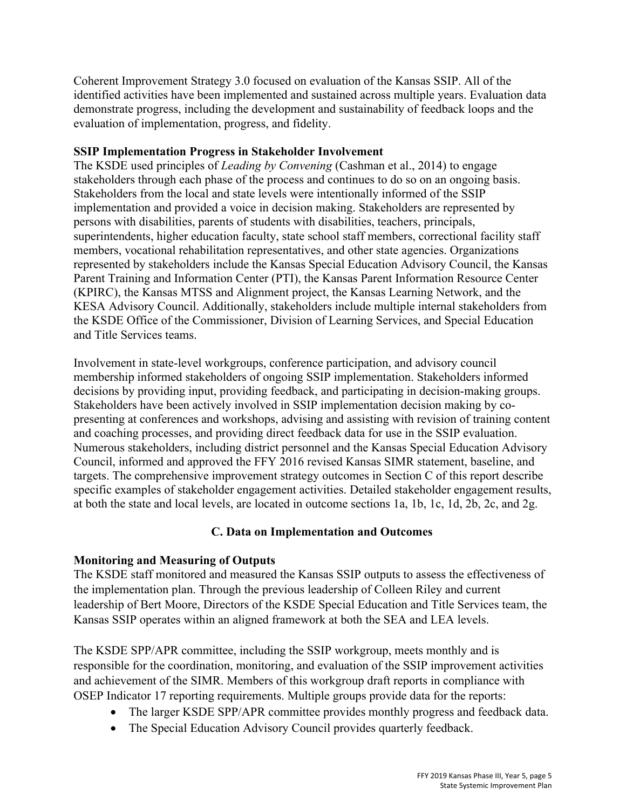Coherent Improvement Strategy 3.0 focused on evaluation of the Kansas SSIP. All of the identified activities have been implemented and sustained across multiple years. Evaluation data demonstrate progress, including the development and sustainability of feedback loops and the evaluation of implementation, progress, and fidelity.

## **SSIP Implementation Progress in Stakeholder Involvement**

The KSDE used principles of *Leading by Convening* (Cashman et al., 2014) to engage stakeholders through each phase of the process and continues to do so on an ongoing basis. Stakeholders from the local and state levels were intentionally informed of the SSIP implementation and provided a voice in decision making. Stakeholders are represented by persons with disabilities, parents of students with disabilities, teachers, principals, superintendents, higher education faculty, state school staff members, correctional facility staff members, vocational rehabilitation representatives, and other state agencies. Organizations represented by stakeholders include the Kansas Special Education Advisory Council, the Kansas Parent Training and Information Center (PTI), the Kansas Parent Information Resource Center (KPIRC), the Kansas MTSS and Alignment project, the Kansas Learning Network, and the KESA Advisory Council. Additionally, stakeholders include multiple internal stakeholders from the KSDE Office of the Commissioner, Division of Learning Services, and Special Education and Title Services teams.

Involvement in state-level workgroups, conference participation, and advisory council membership informed stakeholders of ongoing SSIP implementation. Stakeholders informed decisions by providing input, providing feedback, and participating in decision-making groups. Stakeholders have been actively involved in SSIP implementation decision making by copresenting at conferences and workshops, advising and assisting with revision of training content and coaching processes, and providing direct feedback data for use in the SSIP evaluation. Numerous stakeholders, including district personnel and the Kansas Special Education Advisory Council, informed and approved the FFY 2016 revised Kansas SIMR statement, baseline, and targets. The comprehensive improvement strategy outcomes in Section C of this report describe specific examples of stakeholder engagement activities. Detailed stakeholder engagement results, at both the state and local levels, are located in outcome sections 1a, 1b, 1c, 1d, 2b, 2c, and 2g.

## **C. Data on Implementation and Outcomes**

## **Monitoring and Measuring of Outputs**

The KSDE staff monitored and measured the Kansas SSIP outputs to assess the effectiveness of the implementation plan. Through the previous leadership of Colleen Riley and current leadership of Bert Moore, Directors of the KSDE Special Education and Title Services team, the Kansas SSIP operates within an aligned framework at both the SEA and LEA levels.

The KSDE SPP/APR committee, including the SSIP workgroup, meets monthly and is responsible for the coordination, monitoring, and evaluation of the SSIP improvement activities and achievement of the SIMR. Members of this workgroup draft reports in compliance with OSEP Indicator 17 reporting requirements. Multiple groups provide data for the reports:

- The larger KSDE SPP/APR committee provides monthly progress and feedback data.
- The Special Education Advisory Council provides quarterly feedback.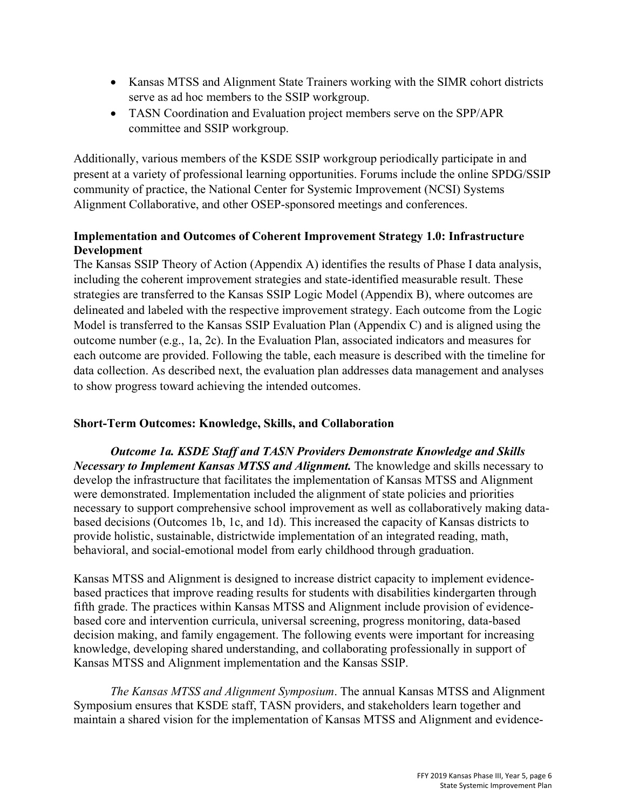- Kansas MTSS and Alignment State Trainers working with the SIMR cohort districts serve as ad hoc members to the SSIP workgroup.
- TASN Coordination and Evaluation project members serve on the SPP/APR committee and SSIP workgroup.

Additionally, various members of the KSDE SSIP workgroup periodically participate in and present at a variety of professional learning opportunities. Forums include the online SPDG/SSIP community of practice, the National Center for Systemic Improvement (NCSI) Systems Alignment Collaborative, and other OSEP-sponsored meetings and conferences.

# **Implementation and Outcomes of Coherent Improvement Strategy 1.0: Infrastructure Development**

The Kansas SSIP Theory of Action (Appendix A) identifies the results of Phase I data analysis, including the coherent improvement strategies and state-identified measurable result. These strategies are transferred to the Kansas SSIP Logic Model (Appendix B), where outcomes are delineated and labeled with the respective improvement strategy. Each outcome from the Logic Model is transferred to the Kansas SSIP Evaluation Plan (Appendix C) and is aligned using the outcome number (e.g., 1a, 2c). In the Evaluation Plan, associated indicators and measures for each outcome are provided. Following the table, each measure is described with the timeline for data collection. As described next, the evaluation plan addresses data management and analyses to show progress toward achieving the intended outcomes.

# **Short-Term Outcomes: Knowledge, Skills, and Collaboration**

*Outcome 1a. KSDE Staff and TASN Providers Demonstrate Knowledge and Skills Necessary to Implement Kansas MTSS and Alignment.* The knowledge and skills necessary to develop the infrastructure that facilitates the implementation of Kansas MTSS and Alignment were demonstrated. Implementation included the alignment of state policies and priorities necessary to support comprehensive school improvement as well as collaboratively making databased decisions (Outcomes 1b, 1c, and 1d). This increased the capacity of Kansas districts to provide holistic, sustainable, districtwide implementation of an integrated reading, math, behavioral, and social-emotional model from early childhood through graduation.

Kansas MTSS and Alignment is designed to increase district capacity to implement evidencebased practices that improve reading results for students with disabilities kindergarten through fifth grade. The practices within Kansas MTSS and Alignment include provision of evidencebased core and intervention curricula, universal screening, progress monitoring, data-based decision making, and family engagement. The following events were important for increasing knowledge, developing shared understanding, and collaborating professionally in support of Kansas MTSS and Alignment implementation and the Kansas SSIP.

*The Kansas MTSS and Alignment Symposium*. The annual Kansas MTSS and Alignment Symposium ensures that KSDE staff, TASN providers, and stakeholders learn together and maintain a shared vision for the implementation of Kansas MTSS and Alignment and evidence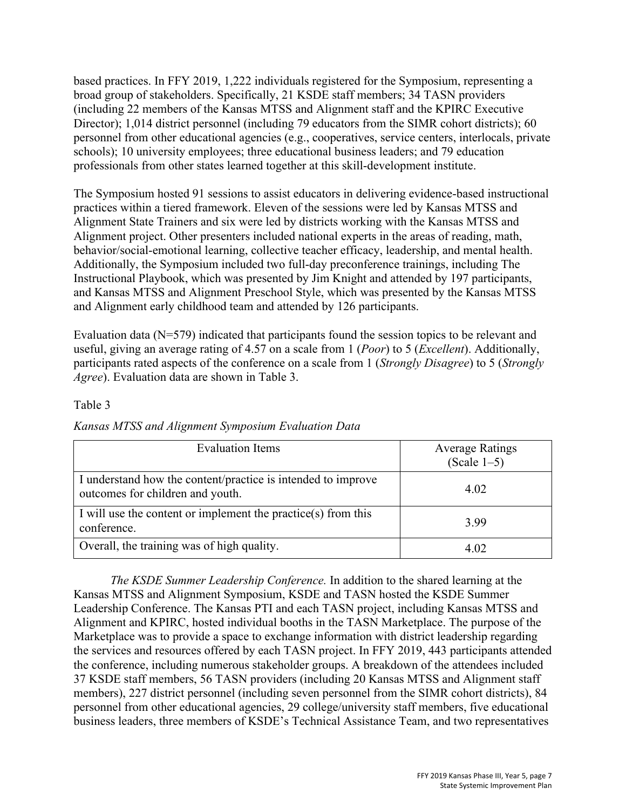based practices. In FFY 2019, 1,222 individuals registered for the Symposium, representing a broad group of stakeholders. Specifically, 21 KSDE staff members; 34 TASN providers (including 22 members of the Kansas MTSS and Alignment staff and the KPIRC Executive Director); 1,014 district personnel (including 79 educators from the SIMR cohort districts); 60 personnel from other educational agencies (e.g., cooperatives, service centers, interlocals, private schools); 10 university employees; three educational business leaders; and 79 education professionals from other states learned together at this skill-development institute.

The Symposium hosted 91 sessions to assist educators in delivering evidence-based instructional practices within a tiered framework. Eleven of the sessions were led by Kansas MTSS and Alignment State Trainers and six were led by districts working with the Kansas MTSS and Alignment project. Other presenters included national experts in the areas of reading, math, behavior/social-emotional learning, collective teacher efficacy, leadership, and mental health. Additionally, the Symposium included two full-day preconference trainings, including The Instructional Playbook, which was presented by Jim Knight and attended by 197 participants, and Kansas MTSS and Alignment Preschool Style, which was presented by the Kansas MTSS and Alignment early childhood team and attended by 126 participants.

Evaluation data (N=579) indicated that participants found the session topics to be relevant and useful, giving an average rating of 4.57 on a scale from 1 (*Poor*) to 5 (*Excellent*). Additionally, participants rated aspects of the conference on a scale from 1 (*Strongly Disagree*) to 5 (*Strongly Agree*). Evaluation data are shown in Table 3.

## Table 3

|  |  | Kansas MTSS and Alignment Symposium Evaluation Data |  |
|--|--|-----------------------------------------------------|--|
|  |  |                                                     |  |

| <b>Evaluation Items</b>                                                                          | <b>Average Ratings</b><br>(Scale $1-5$ ) |
|--------------------------------------------------------------------------------------------------|------------------------------------------|
| I understand how the content/practice is intended to improve<br>outcomes for children and youth. | 4.02                                     |
| I will use the content or implement the practice(s) from this<br>conference.                     | 3.99                                     |
| Overall, the training was of high quality.                                                       | 4 OZ                                     |

*The KSDE Summer Leadership Conference.* In addition to the shared learning at the Kansas MTSS and Alignment Symposium, KSDE and TASN hosted the KSDE Summer Leadership Conference. The Kansas PTI and each TASN project, including Kansas MTSS and Alignment and KPIRC, hosted individual booths in the TASN Marketplace. The purpose of the Marketplace was to provide a space to exchange information with district leadership regarding the services and resources offered by each TASN project. In FFY 2019, 443 participants attended the conference, including numerous stakeholder groups. A breakdown of the attendees included 37 KSDE staff members, 56 TASN providers (including 20 Kansas MTSS and Alignment staff members), 227 district personnel (including seven personnel from the SIMR cohort districts), 84 personnel from other educational agencies, 29 college/university staff members, five educational business leaders, three members of KSDE's Technical Assistance Team, and two representatives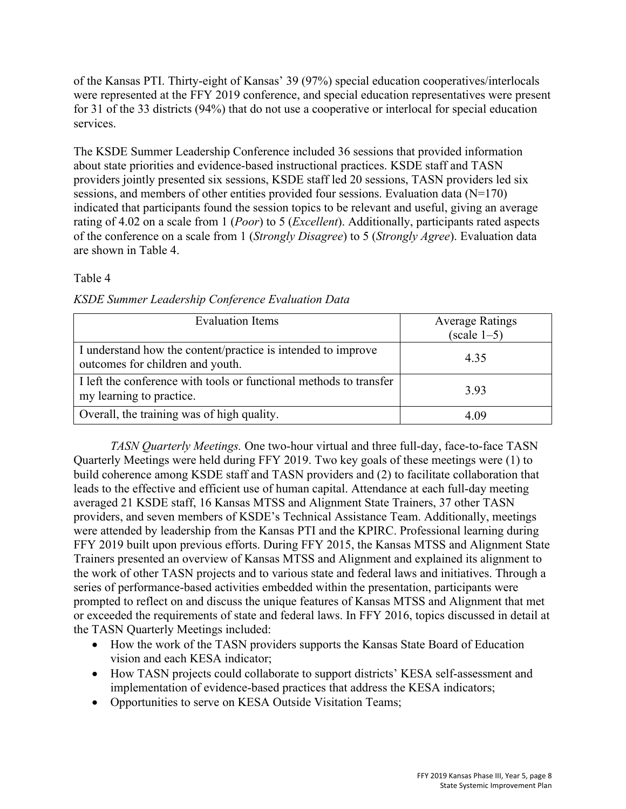of the Kansas PTI. Thirty-eight of Kansas' 39 (97%) special education cooperatives/interlocals were represented at the FFY 2019 conference, and special education representatives were present for 31 of the 33 districts (94%) that do not use a cooperative or interlocal for special education services.

The KSDE Summer Leadership Conference included 36 sessions that provided information about state priorities and evidence-based instructional practices. KSDE staff and TASN providers jointly presented six sessions, KSDE staff led 20 sessions, TASN providers led six sessions, and members of other entities provided four sessions. Evaluation data (N=170) indicated that participants found the session topics to be relevant and useful, giving an average rating of 4.02 on a scale from 1 (*Poor*) to 5 (*Excellent*). Additionally, participants rated aspects of the conference on a scale from 1 (*Strongly Disagree*) to 5 (*Strongly Agree*). Evaluation data are shown in Table 4.

## Table 4

|  | KSDE Summer Leadership Conference Evaluation Data |
|--|---------------------------------------------------|
|--|---------------------------------------------------|

| <b>Evaluation Items</b>                                                                          | <b>Average Ratings</b><br>$(scale 1-5)$ |
|--------------------------------------------------------------------------------------------------|-----------------------------------------|
| I understand how the content/practice is intended to improve<br>outcomes for children and youth. | 4.35                                    |
| I left the conference with tools or functional methods to transfer<br>my learning to practice.   | 3.93                                    |
| Overall, the training was of high quality.                                                       | 4.09                                    |

*TASN Quarterly Meetings.* One two-hour virtual and three full-day, face-to-face TASN Quarterly Meetings were held during FFY 2019. Two key goals of these meetings were (1) to build coherence among KSDE staff and TASN providers and (2) to facilitate collaboration that leads to the effective and efficient use of human capital. Attendance at each full-day meeting averaged 21 KSDE staff, 16 Kansas MTSS and Alignment State Trainers, 37 other TASN providers, and seven members of KSDE's Technical Assistance Team. Additionally, meetings were attended by leadership from the Kansas PTI and the KPIRC. Professional learning during FFY 2019 built upon previous efforts. During FFY 2015, the Kansas MTSS and Alignment State Trainers presented an overview of Kansas MTSS and Alignment and explained its alignment to the work of other TASN projects and to various state and federal laws and initiatives. Through a series of performance-based activities embedded within the presentation, participants were prompted to reflect on and discuss the unique features of Kansas MTSS and Alignment that met or exceeded the requirements of state and federal laws. In FFY 2016, topics discussed in detail at the TASN Quarterly Meetings included:

- How the work of the TASN providers supports the Kansas State Board of Education vision and each KESA indicator;
- How TASN projects could collaborate to support districts' KESA self-assessment and implementation of evidence-based practices that address the KESA indicators;
- Opportunities to serve on KESA Outside Visitation Teams;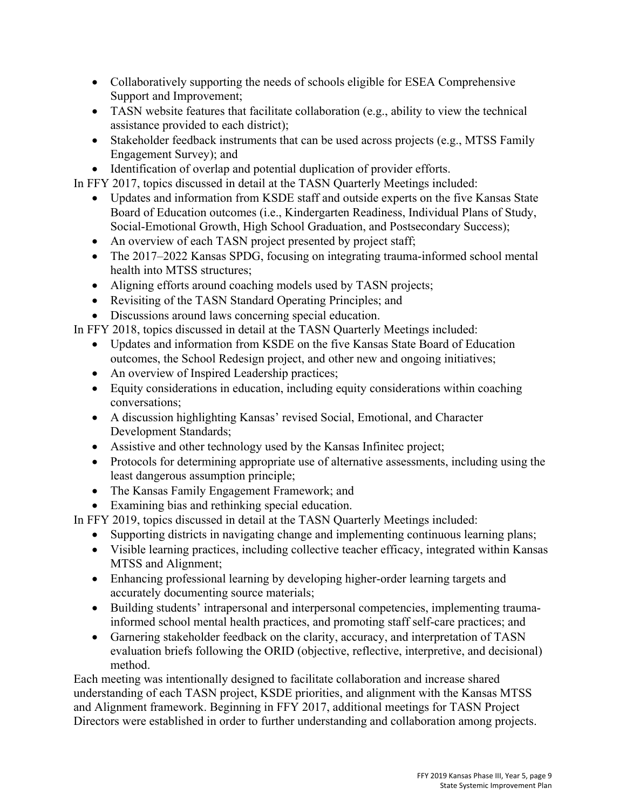- Collaboratively supporting the needs of schools eligible for ESEA Comprehensive Support and Improvement;
- TASN website features that facilitate collaboration (e.g., ability to view the technical assistance provided to each district);
- Stakeholder feedback instruments that can be used across projects (e.g., MTSS Family Engagement Survey); and
- Identification of overlap and potential duplication of provider efforts.

In FFY 2017, topics discussed in detail at the TASN Quarterly Meetings included:

- Updates and information from KSDE staff and outside experts on the five Kansas State Board of Education outcomes (i.e., Kindergarten Readiness, Individual Plans of Study, Social-Emotional Growth, High School Graduation, and Postsecondary Success);
- An overview of each TASN project presented by project staff;
- The 2017–2022 Kansas SPDG, focusing on integrating trauma-informed school mental health into MTSS structures;
- Aligning efforts around coaching models used by TASN projects;
- Revisiting of the TASN Standard Operating Principles; and
- Discussions around laws concerning special education.

In FFY 2018, topics discussed in detail at the TASN Quarterly Meetings included:

- Updates and information from KSDE on the five Kansas State Board of Education outcomes, the School Redesign project, and other new and ongoing initiatives;
- An overview of Inspired Leadership practices;
- Equity considerations in education, including equity considerations within coaching conversations;
- A discussion highlighting Kansas' revised Social, Emotional, and Character Development Standards;
- Assistive and other technology used by the Kansas Infinitec project;
- Protocols for determining appropriate use of alternative assessments, including using the least dangerous assumption principle;
- The Kansas Family Engagement Framework; and
- Examining bias and rethinking special education.

In FFY 2019, topics discussed in detail at the TASN Quarterly Meetings included:

- Supporting districts in navigating change and implementing continuous learning plans;
- Visible learning practices, including collective teacher efficacy, integrated within Kansas MTSS and Alignment;
- Enhancing professional learning by developing higher-order learning targets and accurately documenting source materials;
- Building students' intrapersonal and interpersonal competencies, implementing traumainformed school mental health practices, and promoting staff self-care practices; and
- Garnering stakeholder feedback on the clarity, accuracy, and interpretation of TASN evaluation briefs following the ORID (objective, reflective, interpretive, and decisional) method.

Each meeting was intentionally designed to facilitate collaboration and increase shared understanding of each TASN project, KSDE priorities, and alignment with the Kansas MTSS and Alignment framework. Beginning in FFY 2017, additional meetings for TASN Project Directors were established in order to further understanding and collaboration among projects.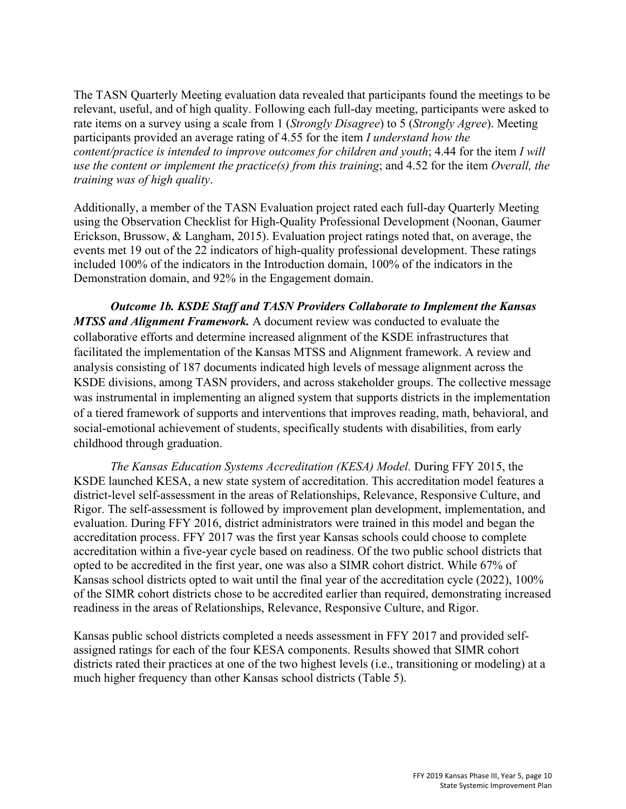The TASN Quarterly Meeting evaluation data revealed that participants found the meetings to be relevant, useful, and of high quality. Following each full-day meeting, participants were asked to rate items on a survey using a scale from 1 (*Strongly Disagree*) to 5 (*Strongly Agree*). Meeting participants provided an average rating of 4.55 for the item *I understand how the content/practice is intended to improve outcomes for children and youth*; 4.44 for the item *I will use the content or implement the practice(s) from this training*; and 4.52 for the item *Overall, the training was of high quality*.

Additionally, a member of the TASN Evaluation project rated each full-day Quarterly Meeting using the Observation Checklist for High-Quality Professional Development (Noonan, Gaumer Erickson, Brussow, & Langham, 2015). Evaluation project ratings noted that, on average, the events met 19 out of the 22 indicators of high-quality professional development. These ratings included 100% of the indicators in the Introduction domain, 100% of the indicators in the Demonstration domain, and 92% in the Engagement domain.

*Outcome 1b. KSDE Staff and TASN Providers Collaborate to Implement the Kansas MTSS and Alignment Framework.* A document review was conducted to evaluate the collaborative efforts and determine increased alignment of the KSDE infrastructures that facilitated the implementation of the Kansas MTSS and Alignment framework. A review and analysis consisting of 187 documents indicated high levels of message alignment across the KSDE divisions, among TASN providers, and across stakeholder groups. The collective message was instrumental in implementing an aligned system that supports districts in the implementation of a tiered framework of supports and interventions that improves reading, math, behavioral, and social-emotional achievement of students, specifically students with disabilities, from early childhood through graduation.

*The Kansas Education Systems Accreditation (KESA) Model.* During FFY 2015, the KSDE launched KESA, a new state system of accreditation. This accreditation model features a district-level self-assessment in the areas of Relationships, Relevance, Responsive Culture, and Rigor. The self-assessment is followed by improvement plan development, implementation, and evaluation. During FFY 2016, district administrators were trained in this model and began the accreditation process. FFY 2017 was the first year Kansas schools could choose to complete accreditation within a five-year cycle based on readiness. Of the two public school districts that opted to be accredited in the first year, one was also a SIMR cohort district. While 67% of Kansas school districts opted to wait until the final year of the accreditation cycle (2022), 100% of the SIMR cohort districts chose to be accredited earlier than required, demonstrating increased readiness in the areas of Relationships, Relevance, Responsive Culture, and Rigor.

Kansas public school districts completed a needs assessment in FFY 2017 and provided selfassigned ratings for each of the four KESA components. Results showed that SIMR cohort districts rated their practices at one of the two highest levels (i.e., transitioning or modeling) at a much higher frequency than other Kansas school districts (Table 5).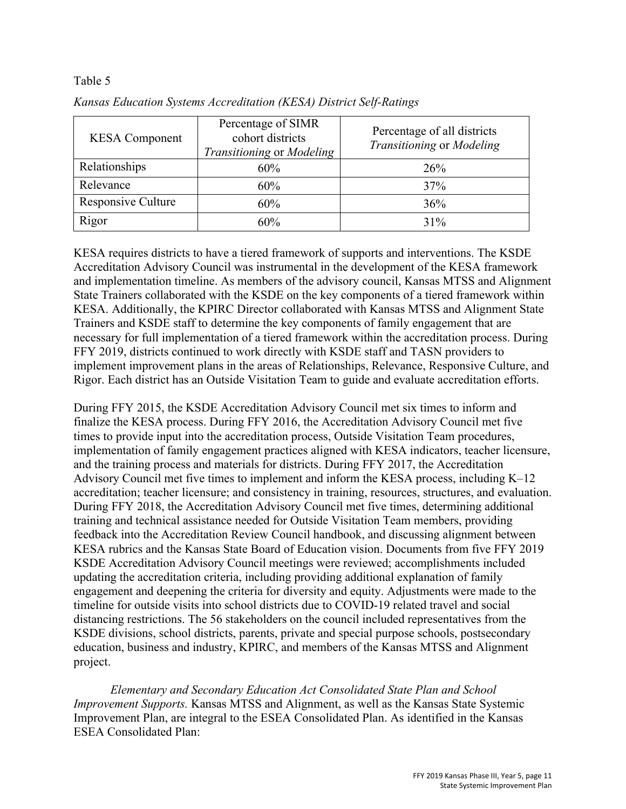#### Table 5

| <b>KESA</b> Component | Percentage of SIMR<br>cohort districts<br>Transitioning or Modeling | Percentage of all districts<br>Transitioning or Modeling |  |  |
|-----------------------|---------------------------------------------------------------------|----------------------------------------------------------|--|--|
| Relationships         | 60%                                                                 | 26%                                                      |  |  |
| Relevance             | 60%                                                                 | 37%                                                      |  |  |
| Responsive Culture    | 60%                                                                 | 36%                                                      |  |  |
| Rigor                 | 60%                                                                 | $31\%$                                                   |  |  |

*Kansas Education Systems Accreditation (KESA) District Self-Ratings* 

KESA requires districts to have a tiered framework of supports and interventions. The KSDE Accreditation Advisory Council was instrumental in the development of the KESA framework and implementation timeline. As members of the advisory council, Kansas MTSS and Alignment State Trainers collaborated with the KSDE on the key components of a tiered framework within KESA. Additionally, the KPIRC Director collaborated with Kansas MTSS and Alignment State Trainers and KSDE staff to determine the key components of family engagement that are necessary for full implementation of a tiered framework within the accreditation process. During FFY 2019, districts continued to work directly with KSDE staff and TASN providers to implement improvement plans in the areas of Relationships, Relevance, Responsive Culture, and Rigor. Each district has an Outside Visitation Team to guide and evaluate accreditation efforts.

During FFY 2015, the KSDE Accreditation Advisory Council met six times to inform and finalize the KESA process. During FFY 2016, the Accreditation Advisory Council met five times to provide input into the accreditation process, Outside Visitation Team procedures, implementation of family engagement practices aligned with KESA indicators, teacher licensure, and the training process and materials for districts. During FFY 2017, the Accreditation Advisory Council met five times to implement and inform the KESA process, including K–12 accreditation; teacher licensure; and consistency in training, resources, structures, and evaluation. During FFY 2018, the Accreditation Advisory Council met five times, determining additional training and technical assistance needed for Outside Visitation Team members, providing feedback into the Accreditation Review Council handbook, and discussing alignment between KESA rubrics and the Kansas State Board of Education vision. Documents from five FFY 2019 KSDE Accreditation Advisory Council meetings were reviewed; accomplishments included updating the accreditation criteria, including providing additional explanation of family engagement and deepening the criteria for diversity and equity. Adjustments were made to the timeline for outside visits into school districts due to COVID-19 related travel and social distancing restrictions. The 56 stakeholders on the council included representatives from the KSDE divisions, school districts, parents, private and special purpose schools, postsecondary education, business and industry, KPIRC, and members of the Kansas MTSS and Alignment project.

*Elementary and Secondary Education Act Consolidated State Plan and School Improvement Supports.* Kansas MTSS and Alignment, as well as the Kansas State Systemic Improvement Plan, are integral to the ESEA Consolidated Plan. As identified in the Kansas ESEA Consolidated Plan: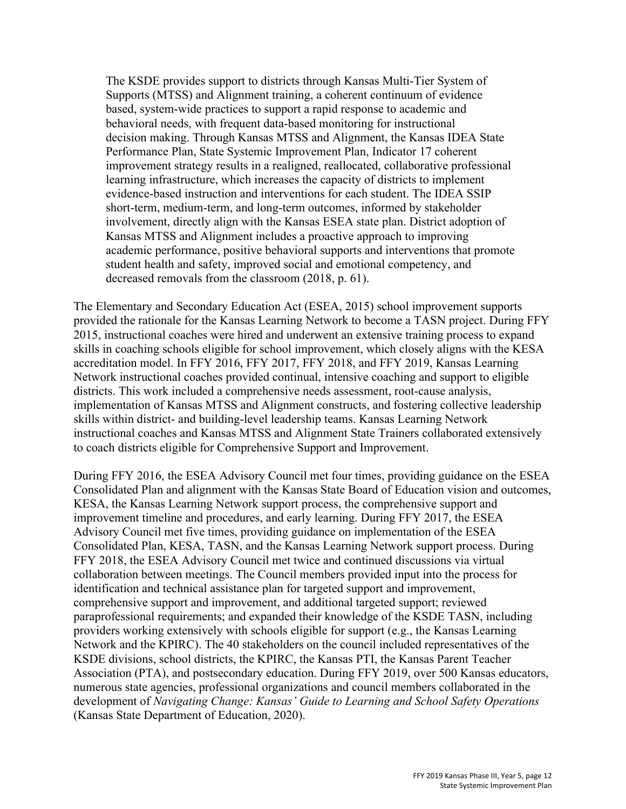The KSDE provides support to districts through Kansas Multi-Tier System of Supports (MTSS) and Alignment training, a coherent continuum of evidence based, system-wide practices to support a rapid response to academic and behavioral needs, with frequent data-based monitoring for instructional decision making. Through Kansas MTSS and Alignment, the Kansas IDEA State Performance Plan, State Systemic Improvement Plan, Indicator 17 coherent improvement strategy results in a realigned, reallocated, collaborative professional learning infrastructure, which increases the capacity of districts to implement evidence-based instruction and interventions for each student. The IDEA SSIP short-term, medium-term, and long-term outcomes, informed by stakeholder involvement, directly align with the Kansas ESEA state plan. District adoption of Kansas MTSS and Alignment includes a proactive approach to improving academic performance, positive behavioral supports and interventions that promote student health and safety, improved social and emotional competency, and decreased removals from the classroom (2018, p. 61).

The Elementary and Secondary Education Act (ESEA, 2015) school improvement supports provided the rationale for the Kansas Learning Network to become a TASN project. During FFY 2015, instructional coaches were hired and underwent an extensive training process to expand skills in coaching schools eligible for school improvement, which closely aligns with the KESA accreditation model. In FFY 2016, FFY 2017, FFY 2018, and FFY 2019, Kansas Learning Network instructional coaches provided continual, intensive coaching and support to eligible districts. This work included a comprehensive needs assessment, root-cause analysis, implementation of Kansas MTSS and Alignment constructs, and fostering collective leadership skills within district- and building-level leadership teams. Kansas Learning Network instructional coaches and Kansas MTSS and Alignment State Trainers collaborated extensively to coach districts eligible for Comprehensive Support and Improvement.

During FFY 2016, the ESEA Advisory Council met four times, providing guidance on the ESEA Consolidated Plan and alignment with the Kansas State Board of Education vision and outcomes, KESA, the Kansas Learning Network support process, the comprehensive support and improvement timeline and procedures, and early learning. During FFY 2017, the ESEA Advisory Council met five times, providing guidance on implementation of the ESEA Consolidated Plan, KESA, TASN, and the Kansas Learning Network support process. During FFY 2018, the ESEA Advisory Council met twice and continued discussions via virtual collaboration between meetings. The Council members provided input into the process for identification and technical assistance plan for targeted support and improvement, comprehensive support and improvement, and additional targeted support; reviewed paraprofessional requirements; and expanded their knowledge of the KSDE TASN, including providers working extensively with schools eligible for support (e.g., the Kansas Learning Network and the KPIRC). The 40 stakeholders on the council included representatives of the KSDE divisions, school districts, the KPIRC, the Kansas PTI, the Kansas Parent Teacher Association (PTA), and postsecondary education. During FFY 2019, over 500 Kansas educators, numerous state agencies, professional organizations and council members collaborated in the development of *Navigating Change: Kansas' Guide to Learning and School Safety Operations*  (Kansas State Department of Education, 2020).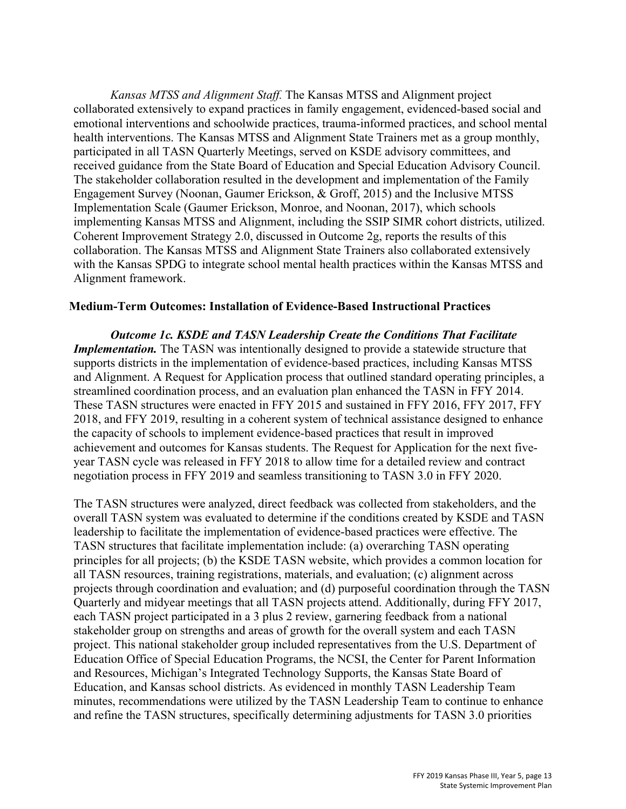*Kansas MTSS and Alignment Staff.* The Kansas MTSS and Alignment project collaborated extensively to expand practices in family engagement, evidenced-based social and emotional interventions and schoolwide practices, trauma-informed practices, and school mental health interventions. The Kansas MTSS and Alignment State Trainers met as a group monthly, participated in all TASN Quarterly Meetings, served on KSDE advisory committees, and received guidance from the State Board of Education and Special Education Advisory Council. The stakeholder collaboration resulted in the development and implementation of the Family Engagement Survey (Noonan, Gaumer Erickson, & Groff, 2015) and the Inclusive MTSS Implementation Scale (Gaumer Erickson, Monroe, and Noonan, 2017), which schools implementing Kansas MTSS and Alignment, including the SSIP SIMR cohort districts, utilized. Coherent Improvement Strategy 2.0, discussed in Outcome 2g, reports the results of this collaboration. The Kansas MTSS and Alignment State Trainers also collaborated extensively with the Kansas SPDG to integrate school mental health practices within the Kansas MTSS and Alignment framework.

#### **Medium-Term Outcomes: Installation of Evidence-Based Instructional Practices**

*Outcome 1c. KSDE and TASN Leadership Create the Conditions That Facilitate Implementation*. The TASN was intentionally designed to provide a statewide structure that supports districts in the implementation of evidence-based practices, including Kansas MTSS and Alignment. A Request for Application process that outlined standard operating principles, a streamlined coordination process, and an evaluation plan enhanced the TASN in FFY 2014. These TASN structures were enacted in FFY 2015 and sustained in FFY 2016, FFY 2017, FFY 2018, and FFY 2019, resulting in a coherent system of technical assistance designed to enhance the capacity of schools to implement evidence-based practices that result in improved achievement and outcomes for Kansas students. The Request for Application for the next fiveyear TASN cycle was released in FFY 2018 to allow time for a detailed review and contract negotiation process in FFY 2019 and seamless transitioning to TASN 3.0 in FFY 2020.

The TASN structures were analyzed, direct feedback was collected from stakeholders, and the overall TASN system was evaluated to determine if the conditions created by KSDE and TASN leadership to facilitate the implementation of evidence-based practices were effective. The TASN structures that facilitate implementation include: (a) overarching TASN operating principles for all projects; (b) the KSDE TASN website, which provides a common location for all TASN resources, training registrations, materials, and evaluation; (c) alignment across projects through coordination and evaluation; and (d) purposeful coordination through the TASN Quarterly and midyear meetings that all TASN projects attend. Additionally, during FFY 2017, each TASN project participated in a 3 plus 2 review, garnering feedback from a national stakeholder group on strengths and areas of growth for the overall system and each TASN project. This national stakeholder group included representatives from the U.S. Department of Education Office of Special Education Programs, the NCSI, the Center for Parent Information and Resources, Michigan's Integrated Technology Supports, the Kansas State Board of Education, and Kansas school districts. As evidenced in monthly TASN Leadership Team minutes, recommendations were utilized by the TASN Leadership Team to continue to enhance and refine the TASN structures, specifically determining adjustments for TASN 3.0 priorities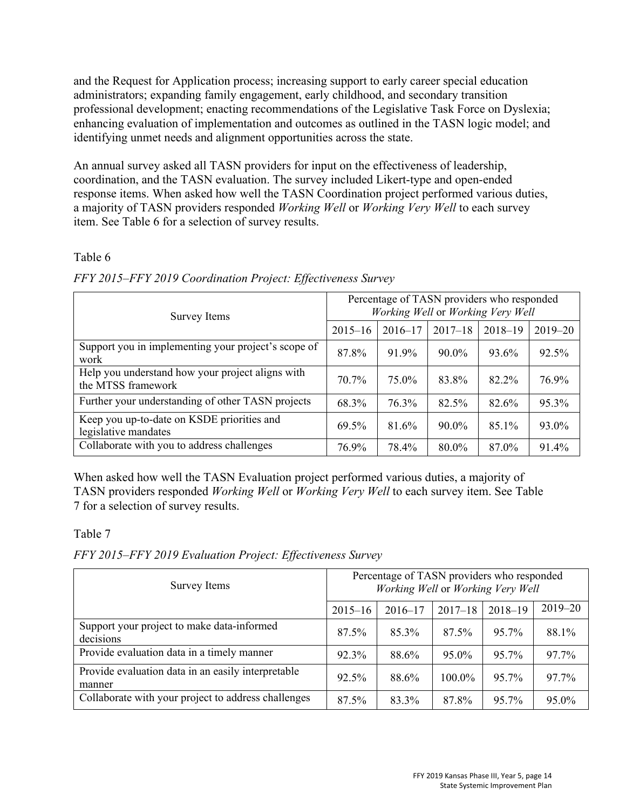and the Request for Application process; increasing support to early career special education administrators; expanding family engagement, early childhood, and secondary transition professional development; enacting recommendations of the Legislative Task Force on Dyslexia; enhancing evaluation of implementation and outcomes as outlined in the TASN logic model; and identifying unmet needs and alignment opportunities across the state.

An annual survey asked all TASN providers for input on the effectiveness of leadership, coordination, and the TASN evaluation. The survey included Likert-type and open-ended response items. When asked how well the TASN Coordination project performed various duties, a majority of TASN providers responded *Working Well* or *Working Very Well* to each survey item. See Table 6 for a selection of survey results.

# Table 6

| Survey Items                                                           | Percentage of TASN providers who responded<br>Working Well or Working Very Well |             |             |             |             |  |
|------------------------------------------------------------------------|---------------------------------------------------------------------------------|-------------|-------------|-------------|-------------|--|
|                                                                        | $2015 - 16$                                                                     | $2016 - 17$ | $2017 - 18$ | $2018 - 19$ | $2019 - 20$ |  |
| Support you in implementing your project's scope of<br>work            | 87.8%                                                                           | 91.9%       | 90.0%       | 93.6%       | 92.5%       |  |
| Help you understand how your project aligns with<br>the MTSS framework | 70.7%                                                                           | 75.0%       | 83.8%       | 82.2%       | 76.9%       |  |
| Further your understanding of other TASN projects                      | 68.3%                                                                           | 76.3%       | 82.5%       | 82.6%       | 95.3%       |  |
| Keep you up-to-date on KSDE priorities and<br>legislative mandates     | 69.5%                                                                           | 81.6%       | 90.0%       | 85.1%       | 93.0%       |  |
| Collaborate with you to address challenges                             | 76.9%                                                                           | 78.4%       | 80.0%       | 87.0%       | 91.4%       |  |

## *FFY 2015–FFY 2019 Coordination Project: Effectiveness Survey*

When asked how well the TASN Evaluation project performed various duties, a majority of TASN providers responded *Working Well* or *Working Very Well* to each survey item. See Table 7 for a selection of survey results.

# Table 7

*FFY 2015–FFY 2019 Evaluation Project: Effectiveness Survey*

| Survey Items                                                 |             | Percentage of TASN providers who responded<br>Working Well or Working Very Well |             |             |             |  |  |
|--------------------------------------------------------------|-------------|---------------------------------------------------------------------------------|-------------|-------------|-------------|--|--|
|                                                              | $2015 - 16$ | $2016 - 17$                                                                     | $2017 - 18$ | $2018 - 19$ | $2019 - 20$ |  |  |
| Support your project to make data-informed<br>decisions      | 87.5%       | 85.3%                                                                           | 87.5%       | 95.7%       | 88.1%       |  |  |
| Provide evaluation data in a timely manner                   | 92.3%       | 88.6%                                                                           | 95.0%       | 95.7%       | 97.7%       |  |  |
| Provide evaluation data in an easily interpretable<br>manner | 92.5%       | 88.6%                                                                           | 100.0%      | 95.7%       | 97.7%       |  |  |
| Collaborate with your project to address challenges          | 87.5%       | 83.3%                                                                           | 87.8%       | 95.7%       | 95.0%       |  |  |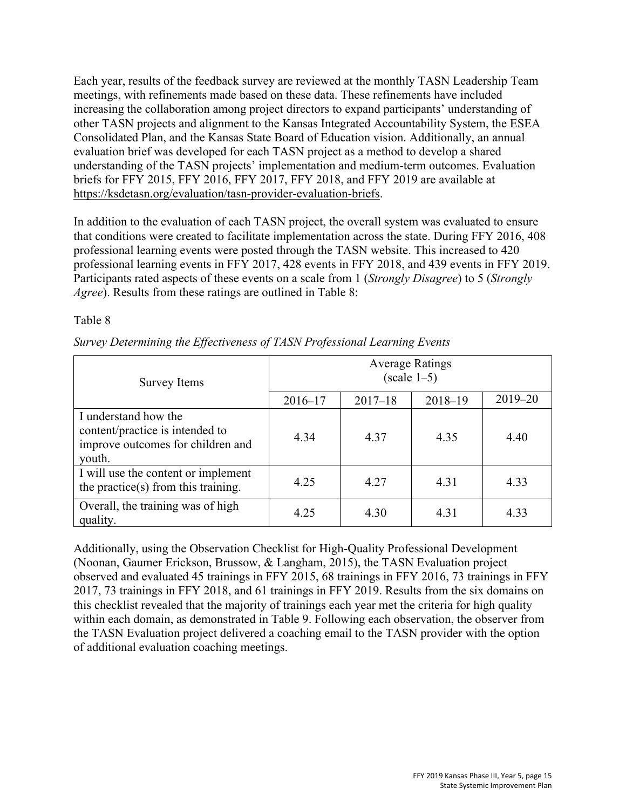Each year, results of the feedback survey are reviewed at the monthly TASN Leadership Team meetings, with refinements made based on these data. These refinements have included increasing the collaboration among project directors to expand participants' understanding of other TASN projects and alignment to the Kansas Integrated Accountability System, the ESEA Consolidated Plan, and the Kansas State Board of Education vision. Additionally, an annual evaluation brief was developed for each TASN project as a method to develop a shared understanding of the TASN projects' implementation and medium-term outcomes. Evaluation briefs for FFY 2015, FFY 2016, FFY 2017, FFY 2018, and FFY 2019 are available at [https://ksdetasn.org/evaluation/tasn-provider-evaluation-briefs.](https://ksdetasn.org/evaluation/tasn-provider-evaluation-briefs)

In addition to the evaluation of each TASN project, the overall system was evaluated to ensure that conditions were created to facilitate implementation across the state. During FFY 2016, 408 professional learning events were posted through the TASN website. This increased to 420 professional learning events in FFY 2017, 428 events in FFY 2018, and 439 events in FFY 2019. Participants rated aspects of these events on a scale from 1 (*Strongly Disagree*) to 5 (*Strongly Agree*). Results from these ratings are outlined in Table 8:

#### Table 8

| <b>Survey Items</b>                                                                                    | <b>Average Ratings</b><br>$(scale 1-5)$ |             |             |             |  |  |  |
|--------------------------------------------------------------------------------------------------------|-----------------------------------------|-------------|-------------|-------------|--|--|--|
|                                                                                                        | $2016 - 17$                             | $2017 - 18$ | $2018 - 19$ | $2019 - 20$ |  |  |  |
| I understand how the<br>content/practice is intended to<br>improve outcomes for children and<br>youth. | 4.34                                    | 4.37        | 4.35        | 4.40        |  |  |  |
| I will use the content or implement<br>the practice(s) from this training.                             | 4.25                                    | 4.27        | 4.31        | 4.33        |  |  |  |
| Overall, the training was of high<br>quality.                                                          | 4.25                                    | 4.30        | 4.31        | 4.33        |  |  |  |

*Survey Determining the Effectiveness of TASN Professional Learning Events* 

Additionally, using the Observation Checklist for High-Quality Professional Development (Noonan, Gaumer Erickson, Brussow, & Langham, 2015), the TASN Evaluation project observed and evaluated 45 trainings in FFY 2015, 68 trainings in FFY 2016, 73 trainings in FFY 2017, 73 trainings in FFY 2018, and 61 trainings in FFY 2019. Results from the six domains on this checklist revealed that the majority of trainings each year met the criteria for high quality within each domain, as demonstrated in Table 9. Following each observation, the observer from the TASN Evaluation project delivered a coaching email to the TASN provider with the option of additional evaluation coaching meetings.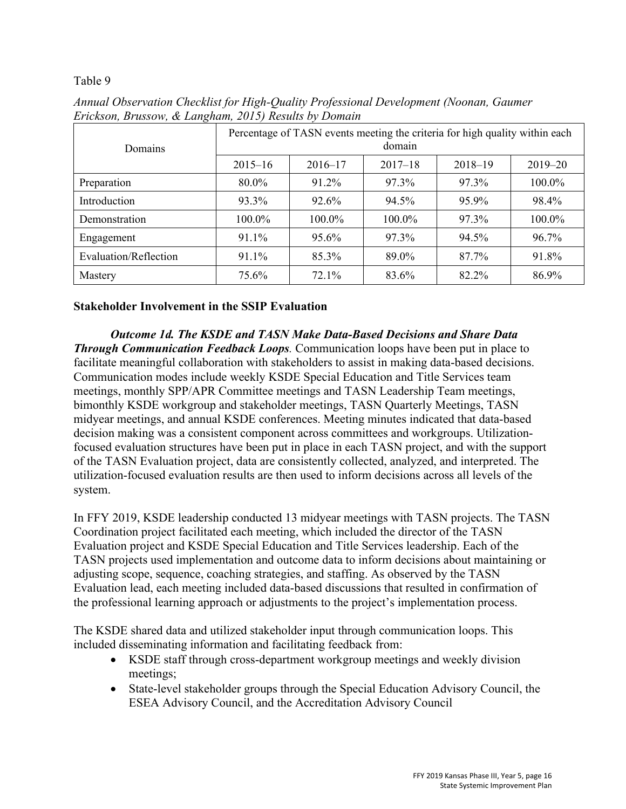## Table 9

| Domains               | Percentage of TASN events meeting the criteria for high quality within each<br>domain |             |             |             |             |  |  |
|-----------------------|---------------------------------------------------------------------------------------|-------------|-------------|-------------|-------------|--|--|
|                       | $2015 - 16$                                                                           | $2016 - 17$ | $2017 - 18$ | $2018 - 19$ | $2019 - 20$ |  |  |
| Preparation           | 80.0%                                                                                 | 91.2%       | 97.3%       | 97.3%       | 100.0%      |  |  |
| Introduction          | 93.3%                                                                                 | 92.6%       | 94.5%       | 95.9%       | 98.4%       |  |  |
| Demonstration         | 100.0%                                                                                | 100.0%      | 100.0%      | 97.3%       | 100.0%      |  |  |
| Engagement            | 91.1%                                                                                 | 95.6%       | 97.3%       | 94.5%       | 96.7%       |  |  |
| Evaluation/Reflection | 91.1%                                                                                 | 85.3%       | 89.0%       | 87.7%       | 91.8%       |  |  |
| Mastery               | 75.6%                                                                                 | 72.1%       | 83.6%       | 82.2%       | 86.9%       |  |  |

*Annual Observation Checklist for High-Quality Professional Development (Noonan, Gaumer Erickson, Brussow, & Langham, 2015) Results by Domain*

# **Stakeholder Involvement in the SSIP Evaluation**

*Outcome 1d. The KSDE and TASN Make Data-Based Decisions and Share Data Through Communication Feedback Loops.* Communication loops have been put in place to facilitate meaningful collaboration with stakeholders to assist in making data-based decisions. Communication modes include weekly KSDE Special Education and Title Services team meetings, monthly SPP/APR Committee meetings and TASN Leadership Team meetings, bimonthly KSDE workgroup and stakeholder meetings, TASN Quarterly Meetings, TASN midyear meetings, and annual KSDE conferences. Meeting minutes indicated that data-based decision making was a consistent component across committees and workgroups. Utilizationfocused evaluation structures have been put in place in each TASN project, and with the support of the TASN Evaluation project, data are consistently collected, analyzed, and interpreted. The utilization-focused evaluation results are then used to inform decisions across all levels of the system.

In FFY 2019, KSDE leadership conducted 13 midyear meetings with TASN projects. The TASN Coordination project facilitated each meeting, which included the director of the TASN Evaluation project and KSDE Special Education and Title Services leadership. Each of the TASN projects used implementation and outcome data to inform decisions about maintaining or adjusting scope, sequence, coaching strategies, and staffing. As observed by the TASN Evaluation lead, each meeting included data-based discussions that resulted in confirmation of the professional learning approach or adjustments to the project's implementation process.

The KSDE shared data and utilized stakeholder input through communication loops. This included disseminating information and facilitating feedback from:

- KSDE staff through cross-department workgroup meetings and weekly division meetings;
- State-level stakeholder groups through the Special Education Advisory Council, the ESEA Advisory Council, and the Accreditation Advisory Council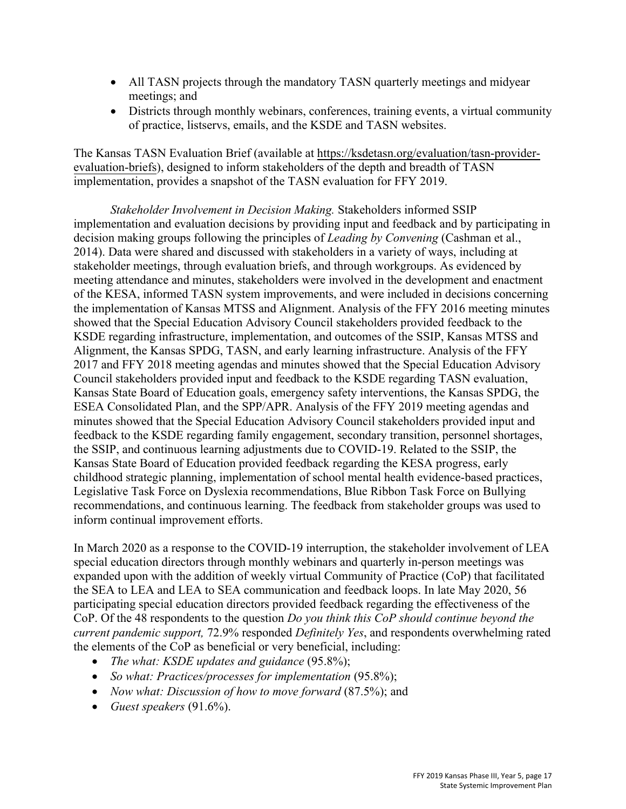- All TASN projects through the mandatory TASN quarterly meetings and midyear meetings; and
- Districts through monthly webinars, conferences, training events, a virtual community of practice, listservs, emails, and the KSDE and TASN websites.

The Kansas TASN Evaluation Brief (available at [https://ksdetasn.org/evaluation/tasn-provider](https://ksdetasn.org/evaluation/tasn-provider-evaluation-briefs)[evaluation-briefs\)](https://ksdetasn.org/evaluation/tasn-provider-evaluation-briefs), designed to inform stakeholders of the depth and breadth of TASN implementation, provides a snapshot of the TASN evaluation for FFY 2019.

*Stakeholder Involvement in Decision Making.* Stakeholders informed SSIP implementation and evaluation decisions by providing input and feedback and by participating in decision making groups following the principles of *Leading by Convening* (Cashman et al., 2014). Data were shared and discussed with stakeholders in a variety of ways, including at stakeholder meetings, through evaluation briefs, and through workgroups. As evidenced by meeting attendance and minutes, stakeholders were involved in the development and enactment of the KESA, informed TASN system improvements, and were included in decisions concerning the implementation of Kansas MTSS and Alignment. Analysis of the FFY 2016 meeting minutes showed that the Special Education Advisory Council stakeholders provided feedback to the KSDE regarding infrastructure, implementation, and outcomes of the SSIP, Kansas MTSS and Alignment, the Kansas SPDG, TASN, and early learning infrastructure. Analysis of the FFY 2017 and FFY 2018 meeting agendas and minutes showed that the Special Education Advisory Council stakeholders provided input and feedback to the KSDE regarding TASN evaluation, Kansas State Board of Education goals, emergency safety interventions, the Kansas SPDG, the ESEA Consolidated Plan, and the SPP/APR. Analysis of the FFY 2019 meeting agendas and minutes showed that the Special Education Advisory Council stakeholders provided input and feedback to the KSDE regarding family engagement, secondary transition, personnel shortages, the SSIP, and continuous learning adjustments due to COVID-19. Related to the SSIP, the Kansas State Board of Education provided feedback regarding the KESA progress, early childhood strategic planning, implementation of school mental health evidence-based practices, Legislative Task Force on Dyslexia recommendations, Blue Ribbon Task Force on Bullying recommendations, and continuous learning. The feedback from stakeholder groups was used to inform continual improvement efforts.

In March 2020 as a response to the COVID-19 interruption, the stakeholder involvement of LEA special education directors through monthly webinars and quarterly in-person meetings was expanded upon with the addition of weekly virtual Community of Practice (CoP) that facilitated the SEA to LEA and LEA to SEA communication and feedback loops. In late May 2020, 56 participating special education directors provided feedback regarding the effectiveness of the CoP. Of the 48 respondents to the question *Do you think this CoP should continue beyond the current pandemic support,* 72.9% responded *Definitely Yes*, and respondents overwhelming rated the elements of the CoP as beneficial or very beneficial, including:

- *The what: KSDE updates and guidance* (95.8%);
- *So what: Practices/processes for implementation* (95.8%);
- *Now what: Discussion of how to move forward* (87.5%); and
- *Guest speakers* (91.6%).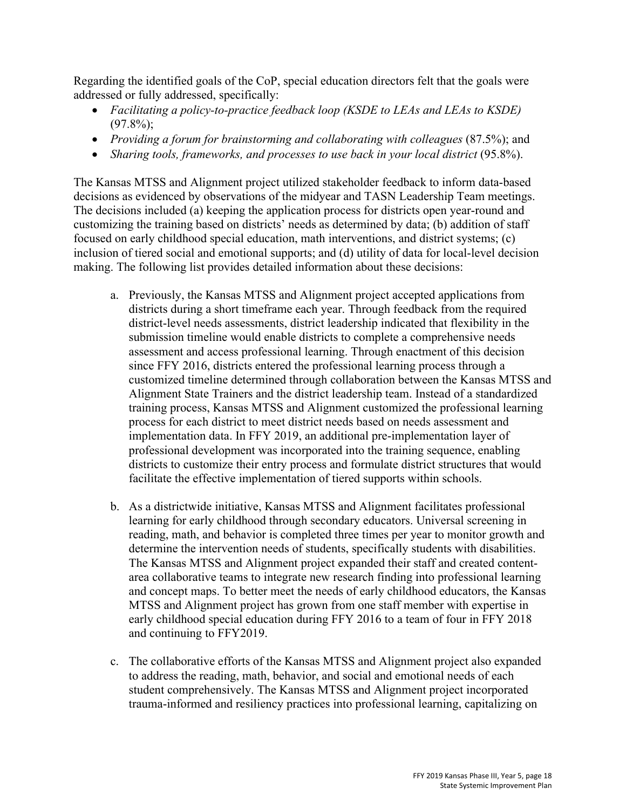Regarding the identified goals of the CoP, special education directors felt that the goals were addressed or fully addressed, specifically:

- *Facilitating a policy-to-practice feedback loop (KSDE to LEAs and LEAs to KSDE)*   $(97.8\%)$ ;
- *Providing a forum for brainstorming and collaborating with colleagues* (87.5%); and
- *Sharing tools, frameworks, and processes to use back in your local district* (95.8%).

The Kansas MTSS and Alignment project utilized stakeholder feedback to inform data-based decisions as evidenced by observations of the midyear and TASN Leadership Team meetings. The decisions included (a) keeping the application process for districts open year-round and customizing the training based on districts' needs as determined by data; (b) addition of staff focused on early childhood special education, math interventions, and district systems; (c) inclusion of tiered social and emotional supports; and (d) utility of data for local-level decision making. The following list provides detailed information about these decisions:

- a. Previously, the Kansas MTSS and Alignment project accepted applications from districts during a short timeframe each year. Through feedback from the required district-level needs assessments, district leadership indicated that flexibility in the submission timeline would enable districts to complete a comprehensive needs assessment and access professional learning. Through enactment of this decision since FFY 2016, districts entered the professional learning process through a customized timeline determined through collaboration between the Kansas MTSS and Alignment State Trainers and the district leadership team. Instead of a standardized training process, Kansas MTSS and Alignment customized the professional learning process for each district to meet district needs based on needs assessment and implementation data. In FFY 2019, an additional pre-implementation layer of professional development was incorporated into the training sequence, enabling districts to customize their entry process and formulate district structures that would facilitate the effective implementation of tiered supports within schools.
- b. As a districtwide initiative, Kansas MTSS and Alignment facilitates professional learning for early childhood through secondary educators. Universal screening in reading, math, and behavior is completed three times per year to monitor growth and determine the intervention needs of students, specifically students with disabilities. The Kansas MTSS and Alignment project expanded their staff and created contentarea collaborative teams to integrate new research finding into professional learning and concept maps. To better meet the needs of early childhood educators, the Kansas MTSS and Alignment project has grown from one staff member with expertise in early childhood special education during FFY 2016 to a team of four in FFY 2018 and continuing to FFY2019.
- c. The collaborative efforts of the Kansas MTSS and Alignment project also expanded to address the reading, math, behavior, and social and emotional needs of each student comprehensively. The Kansas MTSS and Alignment project incorporated trauma-informed and resiliency practices into professional learning, capitalizing on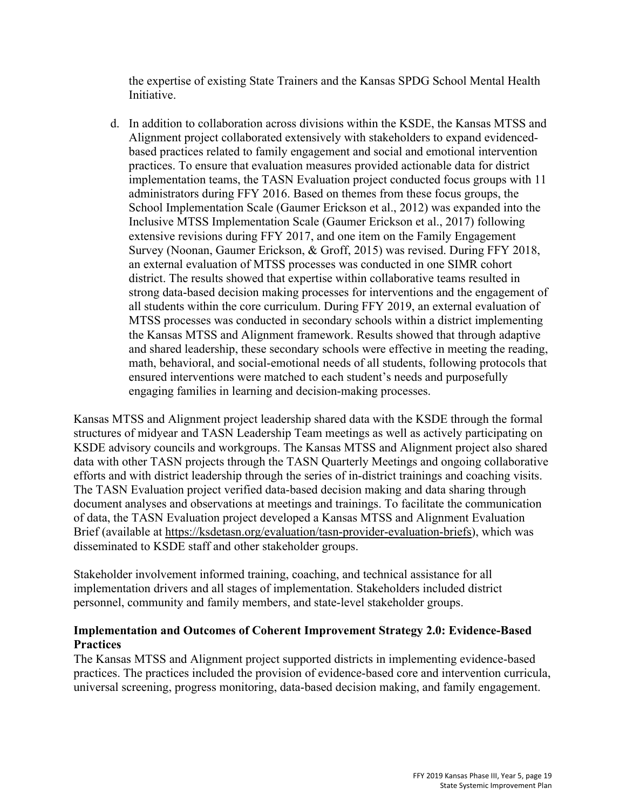the expertise of existing State Trainers and the Kansas SPDG School Mental Health Initiative.

d. In addition to collaboration across divisions within the KSDE, the Kansas MTSS and Alignment project collaborated extensively with stakeholders to expand evidencedbased practices related to family engagement and social and emotional intervention practices. To ensure that evaluation measures provided actionable data for district implementation teams, the TASN Evaluation project conducted focus groups with 11 administrators during FFY 2016. Based on themes from these focus groups, the School Implementation Scale (Gaumer Erickson et al., 2012) was expanded into the Inclusive MTSS Implementation Scale (Gaumer Erickson et al., 2017) following extensive revisions during FFY 2017, and one item on the Family Engagement Survey (Noonan, Gaumer Erickson, & Groff, 2015) was revised. During FFY 2018, an external evaluation of MTSS processes was conducted in one SIMR cohort district. The results showed that expertise within collaborative teams resulted in strong data-based decision making processes for interventions and the engagement of all students within the core curriculum. During FFY 2019, an external evaluation of MTSS processes was conducted in secondary schools within a district implementing the Kansas MTSS and Alignment framework. Results showed that through adaptive and shared leadership, these secondary schools were effective in meeting the reading, math, behavioral, and social-emotional needs of all students, following protocols that ensured interventions were matched to each student's needs and purposefully engaging families in learning and decision-making processes.

Kansas MTSS and Alignment project leadership shared data with the KSDE through the formal structures of midyear and TASN Leadership Team meetings as well as actively participating on KSDE advisory councils and workgroups. The Kansas MTSS and Alignment project also shared data with other TASN projects through the TASN Quarterly Meetings and ongoing collaborative efforts and with district leadership through the series of in-district trainings and coaching visits. The TASN Evaluation project verified data-based decision making and data sharing through document analyses and observations at meetings and trainings. To facilitate the communication of data, the TASN Evaluation project developed a Kansas MTSS and Alignment Evaluation Brief (available at [https://ksdetasn.org/evaluation/tasn-provider-evaluation-briefs\)](https://ksdetasn.org/evaluation/tasn-provider-evaluation-briefs), which was disseminated to KSDE staff and other stakeholder groups.

Stakeholder involvement informed training, coaching, and technical assistance for all implementation drivers and all stages of implementation. Stakeholders included district personnel, community and family members, and state-level stakeholder groups.

## **Implementation and Outcomes of Coherent Improvement Strategy 2.0: Evidence-Based Practices**

The Kansas MTSS and Alignment project supported districts in implementing evidence-based practices. The practices included the provision of evidence-based core and intervention curricula, universal screening, progress monitoring, data-based decision making, and family engagement.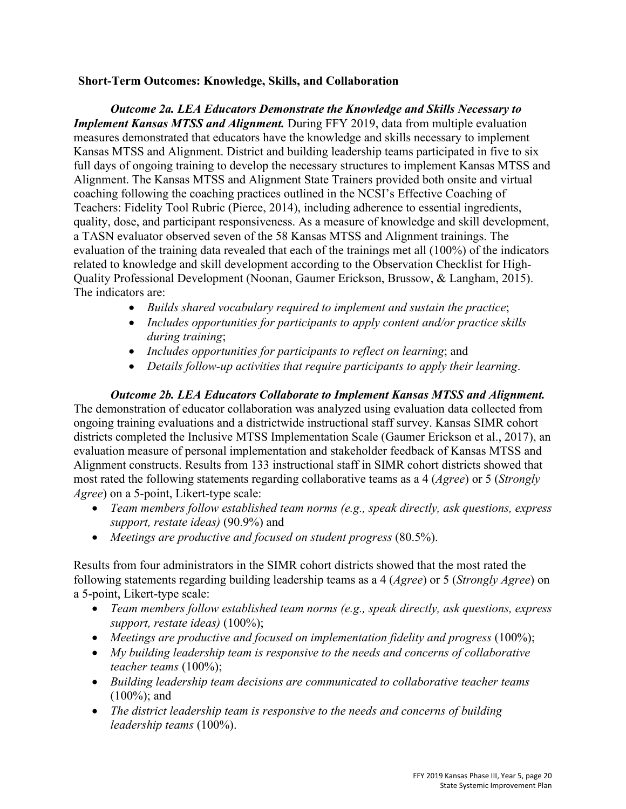#### **Short-Term Outcomes: Knowledge, Skills, and Collaboration**

*Outcome 2a. LEA Educators Demonstrate the Knowledge and Skills Necessary to Implement Kansas MTSS and Alignment.* During FFY 2019, data from multiple evaluation measures demonstrated that educators have the knowledge and skills necessary to implement Kansas MTSS and Alignment. District and building leadership teams participated in five to six full days of ongoing training to develop the necessary structures to implement Kansas MTSS and Alignment. The Kansas MTSS and Alignment State Trainers provided both onsite and virtual coaching following the coaching practices outlined in the NCSI's Effective Coaching of Teachers: Fidelity Tool Rubric (Pierce, 2014), including adherence to essential ingredients, quality, dose, and participant responsiveness. As a measure of knowledge and skill development, a TASN evaluator observed seven of the 58 Kansas MTSS and Alignment trainings. The evaluation of the training data revealed that each of the trainings met all (100%) of the indicators related to knowledge and skill development according to the Observation Checklist for High-Quality Professional Development (Noonan, Gaumer Erickson, Brussow, & Langham, 2015). The indicators are:

- *Builds shared vocabulary required to implement and sustain the practice*;
- *Includes opportunities for participants to apply content and/or practice skills during training*;
- *Includes opportunities for participants to reflect on learning*; and
- *Details follow-up activities that require participants to apply their learning.*

*Outcome 2b. LEA Educators Collaborate to Implement Kansas MTSS and Alignment.* The demonstration of educator collaboration was analyzed using evaluation data collected from ongoing training evaluations and a districtwide instructional staff survey. Kansas SIMR cohort districts completed the Inclusive MTSS Implementation Scale (Gaumer Erickson et al., 2017), an evaluation measure of personal implementation and stakeholder feedback of Kansas MTSS and Alignment constructs. Results from 133 instructional staff in SIMR cohort districts showed that most rated the following statements regarding collaborative teams as a 4 (*Agree*) or 5 (*Strongly Agree*) on a 5-point, Likert-type scale:

- *Team members follow established team norms (e.g., speak directly, ask questions, express support, restate ideas)* (90.9%) and
- *Meetings are productive and focused on student progress* (80.5%).

Results from four administrators in the SIMR cohort districts showed that the most rated the following statements regarding building leadership teams as a 4 (*Agree*) or 5 (*Strongly Agree*) on a 5-point, Likert-type scale:

- *Team members follow established team norms (e.g., speak directly, ask questions, express support, restate ideas)* (100%);
- Meetings are productive and focused on implementation fidelity and progress (100%);
- *My building leadership team is responsive to the needs and concerns of collaborative teacher teams* (100%);
- *Building leadership team decisions are communicated to collaborative teacher teams* (100%); and
- *The district leadership team is responsive to the needs and concerns of building leadership teams* (100%).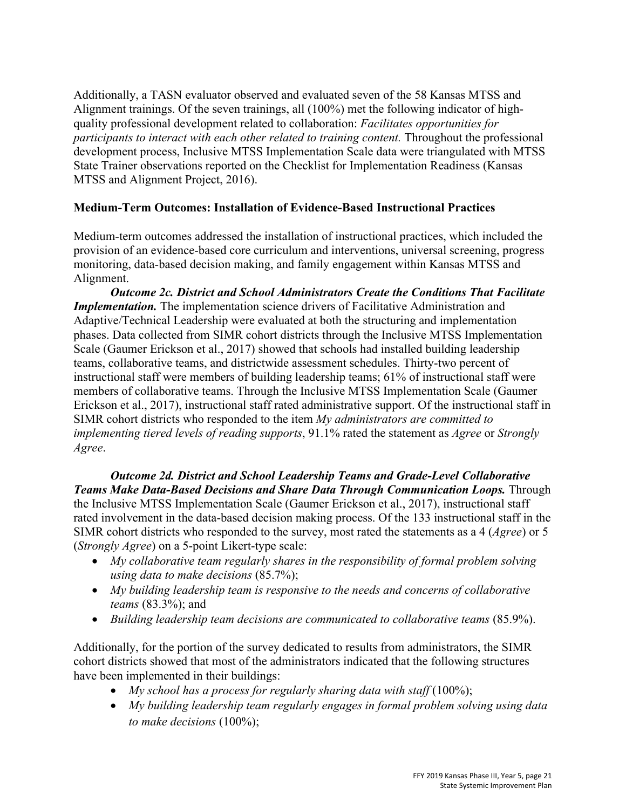Additionally, a TASN evaluator observed and evaluated seven of the 58 Kansas MTSS and Alignment trainings. Of the seven trainings, all (100%) met the following indicator of highquality professional development related to collaboration: *Facilitates opportunities for participants to interact with each other related to training content. Throughout the professional* development process, Inclusive MTSS Implementation Scale data were triangulated with MTSS State Trainer observations reported on the Checklist for Implementation Readiness (Kansas MTSS and Alignment Project, 2016).

## **Medium-Term Outcomes: Installation of Evidence-Based Instructional Practices**

Medium-term outcomes addressed the installation of instructional practices, which included the provision of an evidence-based core curriculum and interventions, universal screening, progress monitoring, data-based decision making, and family engagement within Kansas MTSS and Alignment.

*Outcome 2c. District and School Administrators Create the Conditions That Facilitate Implementation.* The implementation science drivers of Facilitative Administration and Adaptive/Technical Leadership were evaluated at both the structuring and implementation phases. Data collected from SIMR cohort districts through the Inclusive MTSS Implementation Scale (Gaumer Erickson et al., 2017) showed that schools had installed building leadership teams, collaborative teams, and districtwide assessment schedules. Thirty-two percent of instructional staff were members of building leadership teams; 61% of instructional staff were members of collaborative teams. Through the Inclusive MTSS Implementation Scale (Gaumer Erickson et al., 2017), instructional staff rated administrative support. Of the instructional staff in SIMR cohort districts who responded to the item *My administrators are committed to implementing tiered levels of reading supports*, 91.1% rated the statement as *Agree* or *Strongly Agree*.

*Outcome 2d. District and School Leadership Teams and Grade-Level Collaborative Teams Make Data-Based Decisions and Share Data Through Communication Loops.* Through the Inclusive MTSS Implementation Scale (Gaumer Erickson et al., 2017), instructional staff rated involvement in the data-based decision making process. Of the 133 instructional staff in the SIMR cohort districts who responded to the survey, most rated the statements as a 4 (*Agree*) or 5 (*Strongly Agree*) on a 5-point Likert-type scale:

- *My collaborative team regularly shares in the responsibility of formal problem solving using data to make decisions* (85.7%);
- *My building leadership team is responsive to the needs and concerns of collaborative teams* (83.3%); and
- *Building leadership team decisions are communicated to collaborative teams* (85.9%).

Additionally, for the portion of the survey dedicated to results from administrators, the SIMR cohort districts showed that most of the administrators indicated that the following structures have been implemented in their buildings:

- *My school has a process for regularly sharing data with staff* (100%);
- *My building leadership team regularly engages in formal problem solving using data to make decisions* (100%);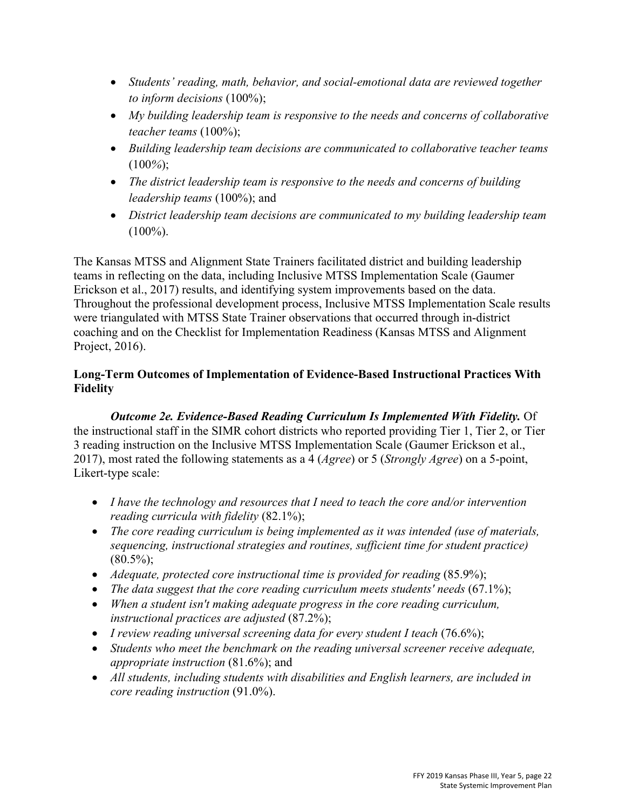- *Students' reading, math, behavior, and social-emotional data are reviewed together to inform decisions* (100%);
- *My building leadership team is responsive to the needs and concerns of collaborative teacher teams* (100%);
- *Building leadership team decisions are communicated to collaborative teacher teams* (100*%*);
- *The district leadership team is responsive to the needs and concerns of building leadership teams* (100%); and
- *District leadership team decisions are communicated to my building leadership team*   $(100\%).$

The Kansas MTSS and Alignment State Trainers facilitated district and building leadership teams in reflecting on the data, including Inclusive MTSS Implementation Scale (Gaumer Erickson et al., 2017) results, and identifying system improvements based on the data. Throughout the professional development process, Inclusive MTSS Implementation Scale results were triangulated with MTSS State Trainer observations that occurred through in-district coaching and on the Checklist for Implementation Readiness (Kansas MTSS and Alignment Project, 2016).

# **Long-Term Outcomes of Implementation of Evidence-Based Instructional Practices With Fidelity**

*Outcome 2e. Evidence-Based Reading Curriculum Is Implemented With Fidelity.* Of the instructional staff in the SIMR cohort districts who reported providing Tier 1, Tier 2, or Tier 3 reading instruction on the Inclusive MTSS Implementation Scale (Gaumer Erickson et al., 2017), most rated the following statements as a 4 (*Agree*) or 5 (*Strongly Agree*) on a 5-point, Likert-type scale:

- *I have the technology and resources that I need to teach the core and/or intervention reading curricula with fidelity* (82.1%);
- *The core reading curriculum is being implemented as it was intended (use of materials, sequencing, instructional strategies and routines, sufficient time for student practice)*  $(80.5\%)$ ;
- *Adequate, protected core instructional time is provided for reading* (85.9%);
- *The data suggest that the core reading curriculum meets students' needs* (67.1%);
- *When a student isn't making adequate progress in the core reading curriculum, instructional practices are adjusted* (87.2%);
- *I review reading universal screening data for every student I teach* (76.6%);
- *Students who meet the benchmark on the reading universal screener receive adequate, appropriate instruction* (81.6%); and
- *All students, including students with disabilities and English learners, are included in core reading instruction* (91.0%).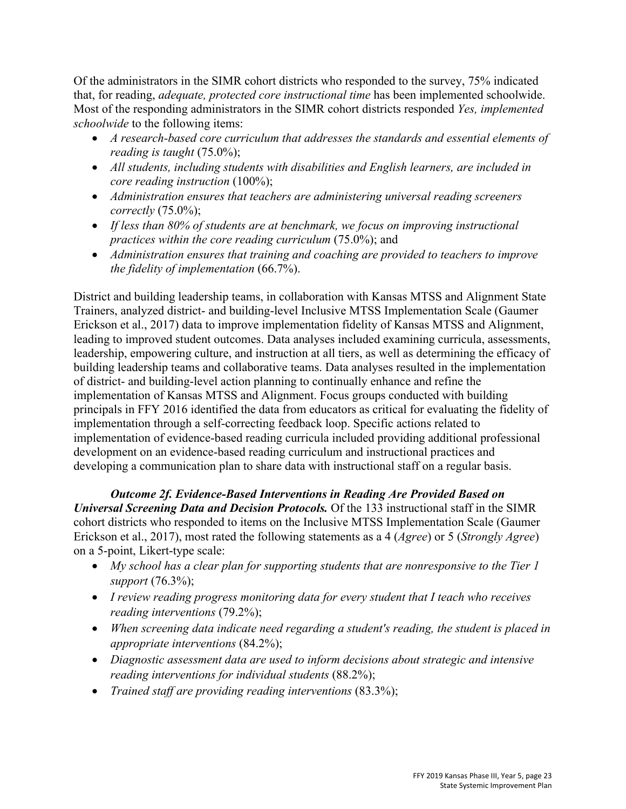Of the administrators in the SIMR cohort districts who responded to the survey, 75% indicated that, for reading, *adequate, protected core instructional time* has been implemented schoolwide. Most of the responding administrators in the SIMR cohort districts responded *Yes, implemented schoolwide* to the following items:

- *A research-based core curriculum that addresses the standards and essential elements of reading is taught* (75.0%);
- *All students, including students with disabilities and English learners, are included in core reading instruction* (100%);
- *Administration ensures that teachers are administering universal reading screeners correctly* (75.0%);
- *If less than 80% of students are at benchmark, we focus on improving instructional practices within the core reading curriculum* (75.0%); and
- *Administration ensures that training and coaching are provided to teachers to improve the fidelity of implementation* (66.7%).

District and building leadership teams, in collaboration with Kansas MTSS and Alignment State Trainers, analyzed district- and building-level Inclusive MTSS Implementation Scale (Gaumer Erickson et al., 2017) data to improve implementation fidelity of Kansas MTSS and Alignment, leading to improved student outcomes. Data analyses included examining curricula, assessments, leadership, empowering culture, and instruction at all tiers, as well as determining the efficacy of building leadership teams and collaborative teams. Data analyses resulted in the implementation of district- and building-level action planning to continually enhance and refine the implementation of Kansas MTSS and Alignment. Focus groups conducted with building principals in FFY 2016 identified the data from educators as critical for evaluating the fidelity of implementation through a self-correcting feedback loop. Specific actions related to implementation of evidence-based reading curricula included providing additional professional development on an evidence-based reading curriculum and instructional practices and developing a communication plan to share data with instructional staff on a regular basis.

*Outcome 2f. Evidence-Based Interventions in Reading Are Provided Based on Universal Screening Data and Decision Protocols.* Of the 133 instructional staff in the SIMR cohort districts who responded to items on the Inclusive MTSS Implementation Scale (Gaumer Erickson et al., 2017), most rated the following statements as a 4 (*Agree*) or 5 (*Strongly Agree*) on a 5-point, Likert-type scale:

- *My school has a clear plan for supporting students that are nonresponsive to the Tier 1 support* (76.3%);
- *I review reading progress monitoring data for every student that I teach who receives reading interventions* (79.2%);
- *When screening data indicate need regarding a student's reading, the student is placed in appropriate interventions* (84.2%);
- *Diagnostic assessment data are used to inform decisions about strategic and intensive reading interventions for individual students* (88.2%);
- *Trained staff are providing reading interventions* (83.3%);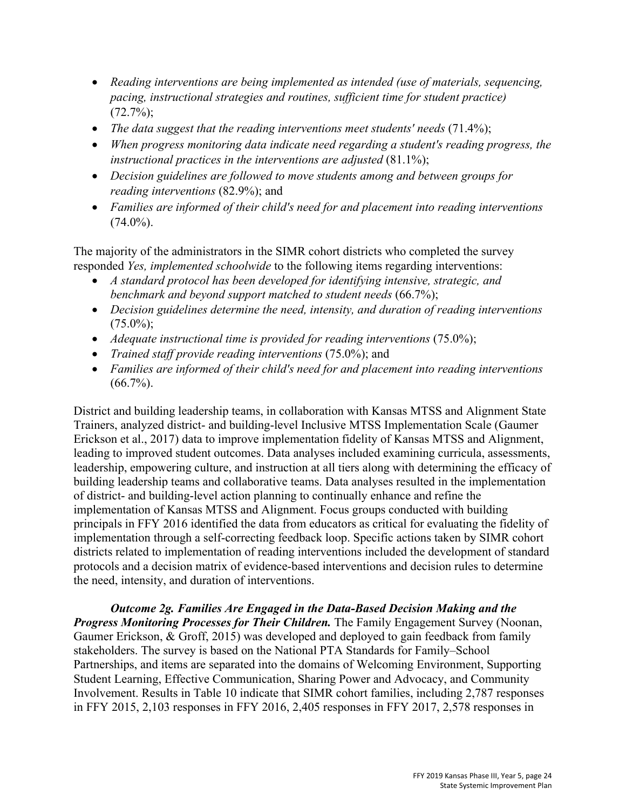- *Reading interventions are being implemented as intended (use of materials, sequencing, pacing, instructional strategies and routines, sufficient time for student practice)*   $(72.7\%)$ ;
- *The data suggest that the reading interventions meet students' needs* (71.4%);
- *When progress monitoring data indicate need regarding a student's reading progress, the*  instructional practices in the interventions are adjusted (81.1%);
- *Decision guidelines are followed to move students among and between groups for reading interventions* (82.9%); and
- *Families are informed of their child's need for and placement into reading interventions*   $(74.0\%)$ .

The majority of the administrators in the SIMR cohort districts who completed the survey responded *Yes, implemented schoolwide* to the following items regarding interventions:

- *A standard protocol has been developed for identifying intensive, strategic, and benchmark and beyond support matched to student needs* (66.7%);
- *Decision guidelines determine the need, intensity, and duration of reading interventions*  $(75.0\%)$ ;
- *Adequate instructional time is provided for reading interventions* (75.0%);
- *Trained staff provide reading interventions* (75.0%); and
- *Families are informed of their child's need for and placement into reading interventions*  $(66.7\%)$ .

District and building leadership teams, in collaboration with Kansas MTSS and Alignment State Trainers, analyzed district- and building-level Inclusive MTSS Implementation Scale (Gaumer Erickson et al., 2017) data to improve implementation fidelity of Kansas MTSS and Alignment, leading to improved student outcomes. Data analyses included examining curricula, assessments, leadership, empowering culture, and instruction at all tiers along with determining the efficacy of building leadership teams and collaborative teams. Data analyses resulted in the implementation of district- and building-level action planning to continually enhance and refine the implementation of Kansas MTSS and Alignment. Focus groups conducted with building principals in FFY 2016 identified the data from educators as critical for evaluating the fidelity of implementation through a self-correcting feedback loop. Specific actions taken by SIMR cohort districts related to implementation of reading interventions included the development of standard protocols and a decision matrix of evidence-based interventions and decision rules to determine the need, intensity, and duration of interventions.

*Outcome 2g. Families Are Engaged in the Data-Based Decision Making and the* 

*Progress Monitoring Processes for Their Children.* The Family Engagement Survey (Noonan, Gaumer Erickson, & Groff, 2015) was developed and deployed to gain feedback from family stakeholders. The survey is based on the National PTA Standards for Family–School Partnerships, and items are separated into the domains of Welcoming Environment, Supporting Student Learning, Effective Communication, Sharing Power and Advocacy, and Community Involvement. Results in Table 10 indicate that SIMR cohort families, including 2,787 responses in FFY 2015, 2,103 responses in FFY 2016, 2,405 responses in FFY 2017, 2,578 responses in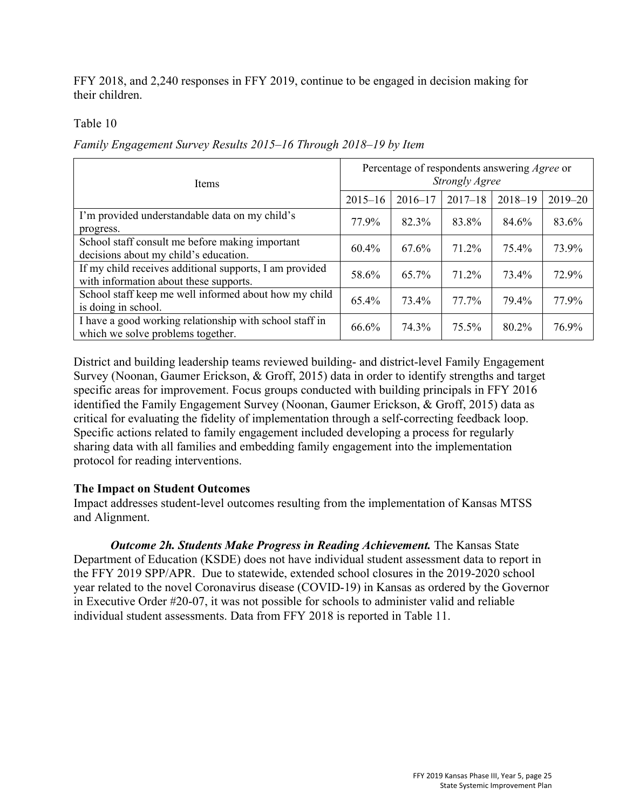FFY 2018, and 2,240 responses in FFY 2019, continue to be engaged in decision making for their children.

Table 10

*Family Engagement Survey Results 2015–16 Through 2018–19 by Item*

| <b>Items</b>                                                                                      | Percentage of respondents answering <i>Agree</i> or<br><b>Strongly Agree</b> |             |             |             |             |  |
|---------------------------------------------------------------------------------------------------|------------------------------------------------------------------------------|-------------|-------------|-------------|-------------|--|
|                                                                                                   | $2015 - 16$                                                                  | $2016 - 17$ | $2017 - 18$ | $2018 - 19$ | $2019 - 20$ |  |
| I'm provided understandable data on my child's<br>progress.                                       | 77.9%                                                                        | 82.3%       | 83.8%       | 84.6%       | 83.6%       |  |
| School staff consult me before making important<br>decisions about my child's education.          | 60.4%                                                                        | 67.6%       | 71.2%       | 75.4%       | 73.9%       |  |
| If my child receives additional supports, I am provided<br>with information about these supports. | 58.6%                                                                        | 65.7%       | 71.2%       | 73.4%       | 72.9%       |  |
| School staff keep me well informed about how my child<br>is doing in school.                      | 65.4%                                                                        | 73.4%       | 77.7%       | 79.4%       | 77.9%       |  |
| I have a good working relationship with school staff in<br>which we solve problems together.      | 66.6%                                                                        | 74.3%       | 75.5%       | 80.2%       | 76.9%       |  |

District and building leadership teams reviewed building- and district-level Family Engagement Survey (Noonan, Gaumer Erickson, & Groff, 2015) data in order to identify strengths and target specific areas for improvement. Focus groups conducted with building principals in FFY 2016 identified the Family Engagement Survey (Noonan, Gaumer Erickson, & Groff, 2015) data as critical for evaluating the fidelity of implementation through a self-correcting feedback loop. Specific actions related to family engagement included developing a process for regularly sharing data with all families and embedding family engagement into the implementation protocol for reading interventions.

#### **The Impact on Student Outcomes**

Impact addresses student-level outcomes resulting from the implementation of Kansas MTSS and Alignment.

*Outcome 2h. Students Make Progress in Reading Achievement.* The Kansas State Department of Education (KSDE) does not have individual student assessment data to report in the FFY 2019 SPP/APR. Due to statewide, extended school closures in the 2019-2020 school year related to the novel Coronavirus disease (COVID-19) in Kansas as ordered by the Governor in Executive Order #20-07, it was not possible for schools to administer valid and reliable individual student assessments. Data from FFY 2018 is reported in Table 11.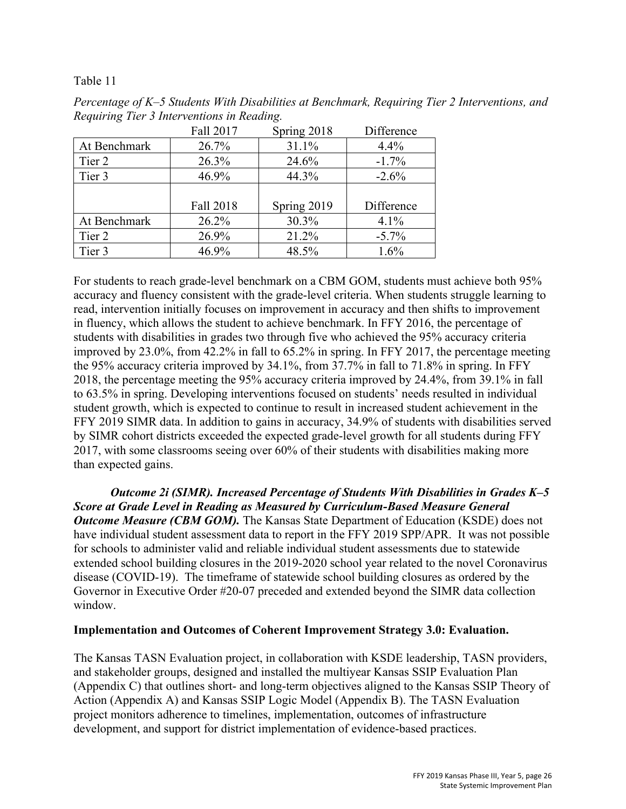Table 11

|              | Fall 2017 | Spring 2018 | Difference |
|--------------|-----------|-------------|------------|
| At Benchmark | 26.7%     | 31.1%       | 4.4%       |
| Tier 2       | 26.3%     | 24.6%       | $-1.7%$    |
| Tier 3       | 46.9%     | 44.3%       | $-2.6\%$   |
|              |           |             |            |
|              | Fall 2018 | Spring 2019 | Difference |
| At Benchmark | 26.2%     | 30.3%       | 4.1%       |
| Tier 2       | 26.9%     | 21.2%       | $-5.7\%$   |
| Tier 3       | 46.9%     | 48.5%       | 1.6%       |

*Percentage of K–5 Students With Disabilities at Benchmark, Requiring Tier 2 Interventions, and Requiring Tier 3 Interventions in Reading.* 

For students to reach grade-level benchmark on a CBM GOM, students must achieve both 95% accuracy and fluency consistent with the grade-level criteria. When students struggle learning to read, intervention initially focuses on improvement in accuracy and then shifts to improvement in fluency, which allows the student to achieve benchmark. In FFY 2016, the percentage of students with disabilities in grades two through five who achieved the 95% accuracy criteria improved by 23.0%, from 42.2% in fall to 65.2% in spring. In FFY 2017, the percentage meeting the 95% accuracy criteria improved by 34.1%, from 37.7% in fall to 71.8% in spring. In FFY 2018, the percentage meeting the 95% accuracy criteria improved by 24.4%, from 39.1% in fall to 63.5% in spring. Developing interventions focused on students' needs resulted in individual student growth, which is expected to continue to result in increased student achievement in the FFY 2019 SIMR data. In addition to gains in accuracy, 34.9% of students with disabilities served by SIMR cohort districts exceeded the expected grade-level growth for all students during FFY 2017, with some classrooms seeing over 60% of their students with disabilities making more than expected gains.

*Outcome 2i (SIMR). Increased Percentage of Students With Disabilities in Grades K–5 Score at Grade Level in Reading as Measured by Curriculum-Based Measure General Outcome Measure (CBM GOM)*. The Kansas State Department of Education (KSDE) does not have individual student assessment data to report in the FFY 2019 SPP/APR. It was not possible for schools to administer valid and reliable individual student assessments due to statewide extended school building closures in the 2019-2020 school year related to the novel Coronavirus disease (COVID-19). The timeframe of statewide school building closures as ordered by the Governor in Executive Order #20-07 preceded and extended beyond the SIMR data collection window.

## **Implementation and Outcomes of Coherent Improvement Strategy 3.0: Evaluation.**

The Kansas TASN Evaluation project, in collaboration with KSDE leadership, TASN providers, and stakeholder groups, designed and installed the multiyear Kansas SSIP Evaluation Plan (Appendix C) that outlines short- and long-term objectives aligned to the Kansas SSIP Theory of Action (Appendix A) and Kansas SSIP Logic Model (Appendix B). The TASN Evaluation project monitors adherence to timelines, implementation, outcomes of infrastructure development, and support for district implementation of evidence-based practices.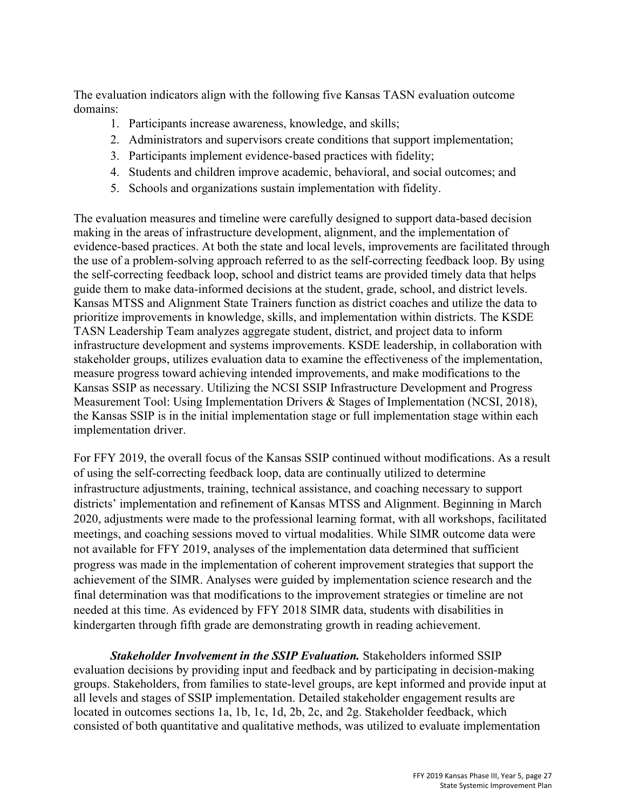The evaluation indicators align with the following five Kansas TASN evaluation outcome domains:

- 1. Participants increase awareness, knowledge, and skills;
- 2. Administrators and supervisors create conditions that support implementation;
- 3. Participants implement evidence-based practices with fidelity;
- 4. Students and children improve academic, behavioral, and social outcomes; and
- 5. Schools and organizations sustain implementation with fidelity.

The evaluation measures and timeline were carefully designed to support data-based decision making in the areas of infrastructure development, alignment, and the implementation of evidence-based practices. At both the state and local levels, improvements are facilitated through the use of a problem-solving approach referred to as the self-correcting feedback loop. By using the self-correcting feedback loop, school and district teams are provided timely data that helps guide them to make data-informed decisions at the student, grade, school, and district levels. Kansas MTSS and Alignment State Trainers function as district coaches and utilize the data to prioritize improvements in knowledge, skills, and implementation within districts. The KSDE TASN Leadership Team analyzes aggregate student, district, and project data to inform infrastructure development and systems improvements. KSDE leadership, in collaboration with stakeholder groups, utilizes evaluation data to examine the effectiveness of the implementation, measure progress toward achieving intended improvements, and make modifications to the Kansas SSIP as necessary. Utilizing the NCSI SSIP Infrastructure Development and Progress Measurement Tool: Using Implementation Drivers & Stages of Implementation (NCSI, 2018), the Kansas SSIP is in the initial implementation stage or full implementation stage within each implementation driver.

For FFY 2019, the overall focus of the Kansas SSIP continued without modifications. As a result of using the self-correcting feedback loop, data are continually utilized to determine infrastructure adjustments, training, technical assistance, and coaching necessary to support districts' implementation and refinement of Kansas MTSS and Alignment. Beginning in March 2020, adjustments were made to the professional learning format, with all workshops, facilitated meetings, and coaching sessions moved to virtual modalities. While SIMR outcome data were not available for FFY 2019, analyses of the implementation data determined that sufficient progress was made in the implementation of coherent improvement strategies that support the achievement of the SIMR. Analyses were guided by implementation science research and the final determination was that modifications to the improvement strategies or timeline are not needed at this time. As evidenced by FFY 2018 SIMR data, students with disabilities in kindergarten through fifth grade are demonstrating growth in reading achievement.

*Stakeholder Involvement in the SSIP Evaluation.* Stakeholders informed SSIP evaluation decisions by providing input and feedback and by participating in decision-making groups. Stakeholders, from families to state-level groups, are kept informed and provide input at all levels and stages of SSIP implementation. Detailed stakeholder engagement results are located in outcomes sections 1a, 1b, 1c, 1d, 2b, 2c, and 2g. Stakeholder feedback, which consisted of both quantitative and qualitative methods, was utilized to evaluate implementation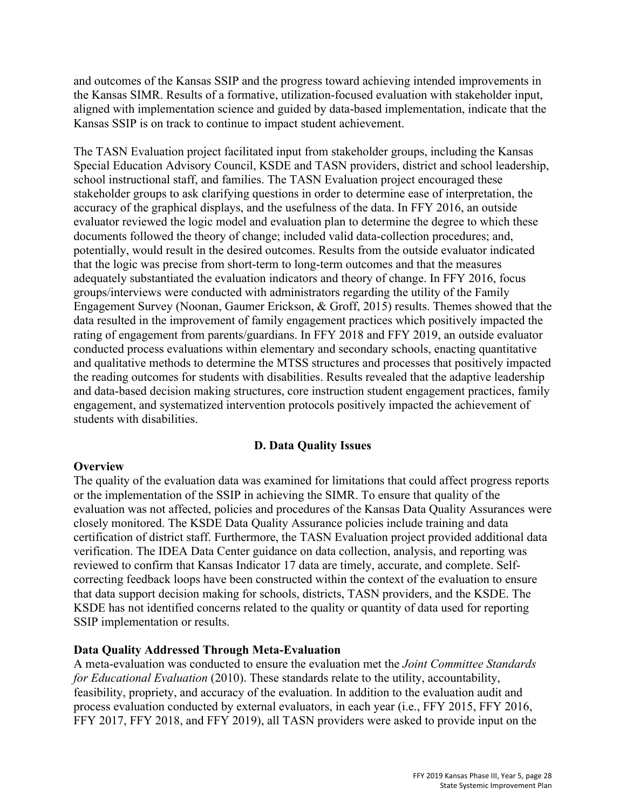and outcomes of the Kansas SSIP and the progress toward achieving intended improvements in the Kansas SIMR. Results of a formative, utilization-focused evaluation with stakeholder input, aligned with implementation science and guided by data-based implementation, indicate that the Kansas SSIP is on track to continue to impact student achievement.

The TASN Evaluation project facilitated input from stakeholder groups, including the Kansas Special Education Advisory Council, KSDE and TASN providers, district and school leadership, school instructional staff, and families. The TASN Evaluation project encouraged these stakeholder groups to ask clarifying questions in order to determine ease of interpretation, the accuracy of the graphical displays, and the usefulness of the data. In FFY 2016, an outside evaluator reviewed the logic model and evaluation plan to determine the degree to which these documents followed the theory of change; included valid data-collection procedures; and, potentially, would result in the desired outcomes. Results from the outside evaluator indicated that the logic was precise from short-term to long-term outcomes and that the measures adequately substantiated the evaluation indicators and theory of change. In FFY 2016, focus groups/interviews were conducted with administrators regarding the utility of the Family Engagement Survey (Noonan, Gaumer Erickson, & Groff, 2015) results. Themes showed that the data resulted in the improvement of family engagement practices which positively impacted the rating of engagement from parents/guardians. In FFY 2018 and FFY 2019, an outside evaluator conducted process evaluations within elementary and secondary schools, enacting quantitative and qualitative methods to determine the MTSS structures and processes that positively impacted the reading outcomes for students with disabilities. Results revealed that the adaptive leadership and data-based decision making structures, core instruction student engagement practices, family engagement, and systematized intervention protocols positively impacted the achievement of students with disabilities.

## **D. Data Quality Issues**

#### **Overview**

The quality of the evaluation data was examined for limitations that could affect progress reports or the implementation of the SSIP in achieving the SIMR. To ensure that quality of the evaluation was not affected, policies and procedures of the Kansas Data Quality Assurances were closely monitored. The KSDE Data Quality Assurance policies include training and data certification of district staff. Furthermore, the TASN Evaluation project provided additional data verification. The IDEA Data Center guidance on data collection, analysis, and reporting was reviewed to confirm that Kansas Indicator 17 data are timely, accurate, and complete. Selfcorrecting feedback loops have been constructed within the context of the evaluation to ensure that data support decision making for schools, districts, TASN providers, and the KSDE. The KSDE has not identified concerns related to the quality or quantity of data used for reporting SSIP implementation or results.

#### **Data Quality Addressed Through Meta-Evaluation**

A meta-evaluation was conducted to ensure the evaluation met the *Joint Committee Standards for Educational Evaluation* (2010). These standards relate to the utility, accountability, feasibility, propriety, and accuracy of the evaluation. In addition to the evaluation audit and process evaluation conducted by external evaluators, in each year (i.e., FFY 2015, FFY 2016, FFY 2017, FFY 2018, and FFY 2019), all TASN providers were asked to provide input on the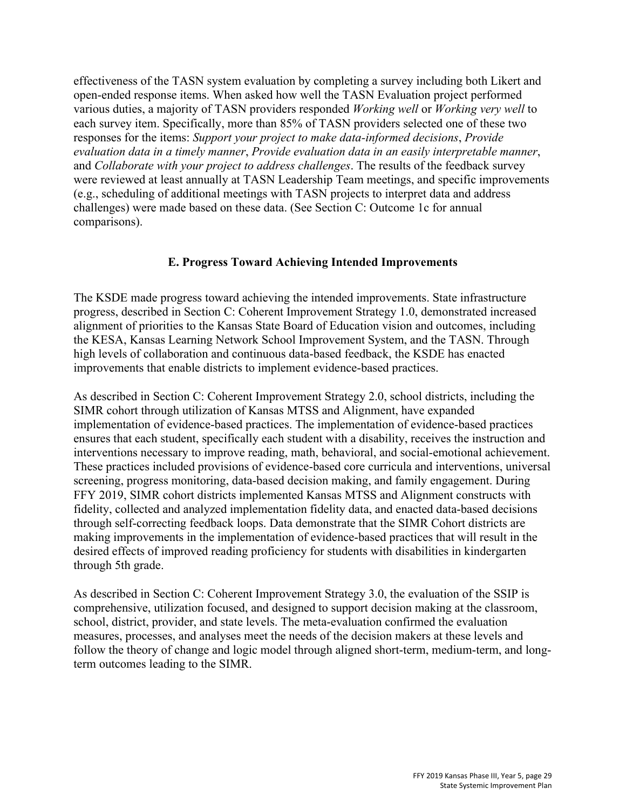effectiveness of the TASN system evaluation by completing a survey including both Likert and open-ended response items. When asked how well the TASN Evaluation project performed various duties, a majority of TASN providers responded *Working well* or *Working very well* to each survey item. Specifically, more than 85% of TASN providers selected one of these two responses for the items: *Support your project to make data-informed decisions*, *Provide evaluation data in a timely manner*, *Provide evaluation data in an easily interpretable manner*, and *Collaborate with your project to address challenges*. The results of the feedback survey were reviewed at least annually at TASN Leadership Team meetings, and specific improvements (e.g., scheduling of additional meetings with TASN projects to interpret data and address challenges) were made based on these data. (See Section C: Outcome 1c for annual comparisons).

#### **E. Progress Toward Achieving Intended Improvements**

The KSDE made progress toward achieving the intended improvements. State infrastructure progress, described in Section C: Coherent Improvement Strategy 1.0, demonstrated increased alignment of priorities to the Kansas State Board of Education vision and outcomes, including the KESA, Kansas Learning Network School Improvement System, and the TASN. Through high levels of collaboration and continuous data-based feedback, the KSDE has enacted improvements that enable districts to implement evidence-based practices.

As described in Section C: Coherent Improvement Strategy 2.0, school districts, including the SIMR cohort through utilization of Kansas MTSS and Alignment, have expanded implementation of evidence-based practices. The implementation of evidence-based practices ensures that each student, specifically each student with a disability, receives the instruction and interventions necessary to improve reading, math, behavioral, and social-emotional achievement. These practices included provisions of evidence-based core curricula and interventions, universal screening, progress monitoring, data-based decision making, and family engagement. During FFY 2019, SIMR cohort districts implemented Kansas MTSS and Alignment constructs with fidelity, collected and analyzed implementation fidelity data, and enacted data-based decisions through self-correcting feedback loops. Data demonstrate that the SIMR Cohort districts are making improvements in the implementation of evidence-based practices that will result in the desired effects of improved reading proficiency for students with disabilities in kindergarten through 5th grade.

As described in Section C: Coherent Improvement Strategy 3.0, the evaluation of the SSIP is comprehensive, utilization focused, and designed to support decision making at the classroom, school, district, provider, and state levels. The meta-evaluation confirmed the evaluation measures, processes, and analyses meet the needs of the decision makers at these levels and follow the theory of change and logic model through aligned short-term, medium-term, and longterm outcomes leading to the SIMR.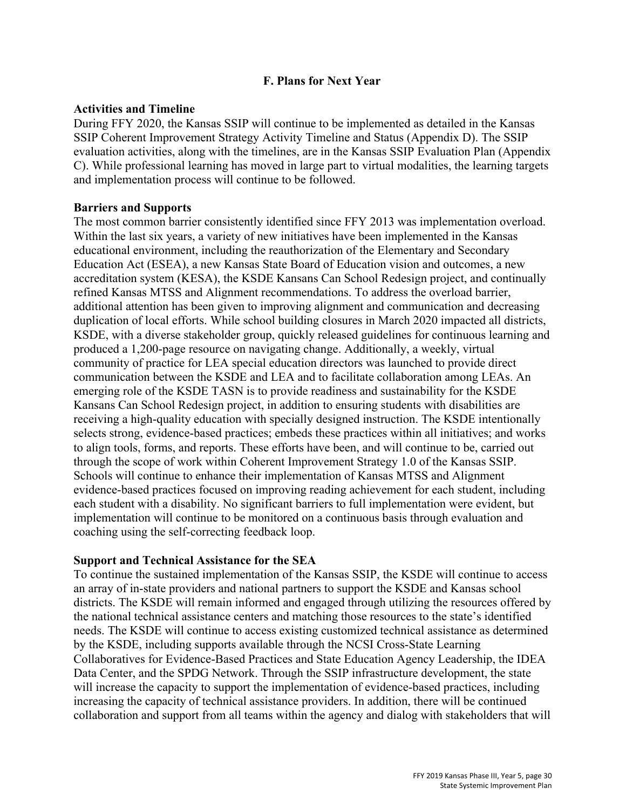#### **F. Plans for Next Year**

#### **Activities and Timeline**

During FFY 2020, the Kansas SSIP will continue to be implemented as detailed in the Kansas SSIP Coherent Improvement Strategy Activity Timeline and Status (Appendix D). The SSIP evaluation activities, along with the timelines, are in the Kansas SSIP Evaluation Plan (Appendix C). While professional learning has moved in large part to virtual modalities, the learning targets and implementation process will continue to be followed.

## **Barriers and Supports**

The most common barrier consistently identified since FFY 2013 was implementation overload. Within the last six years, a variety of new initiatives have been implemented in the Kansas educational environment, including the reauthorization of the Elementary and Secondary Education Act (ESEA), a new Kansas State Board of Education vision and outcomes, a new accreditation system (KESA), the KSDE Kansans Can School Redesign project, and continually refined Kansas MTSS and Alignment recommendations. To address the overload barrier, additional attention has been given to improving alignment and communication and decreasing duplication of local efforts. While school building closures in March 2020 impacted all districts, KSDE, with a diverse stakeholder group, quickly released guidelines for continuous learning and produced a 1,200-page resource on navigating change. Additionally, a weekly, virtual community of practice for LEA special education directors was launched to provide direct communication between the KSDE and LEA and to facilitate collaboration among LEAs. An emerging role of the KSDE TASN is to provide readiness and sustainability for the KSDE Kansans Can School Redesign project, in addition to ensuring students with disabilities are receiving a high-quality education with specially designed instruction. The KSDE intentionally selects strong, evidence-based practices; embeds these practices within all initiatives; and works to align tools, forms, and reports. These efforts have been, and will continue to be, carried out through the scope of work within Coherent Improvement Strategy 1.0 of the Kansas SSIP. Schools will continue to enhance their implementation of Kansas MTSS and Alignment evidence-based practices focused on improving reading achievement for each student, including each student with a disability. No significant barriers to full implementation were evident, but implementation will continue to be monitored on a continuous basis through evaluation and coaching using the self-correcting feedback loop.

## **Support and Technical Assistance for the SEA**

To continue the sustained implementation of the Kansas SSIP, the KSDE will continue to access an array of in-state providers and national partners to support the KSDE and Kansas school districts. The KSDE will remain informed and engaged through utilizing the resources offered by the national technical assistance centers and matching those resources to the state's identified needs. The KSDE will continue to access existing customized technical assistance as determined by the KSDE, including supports available through the NCSI Cross-State Learning Collaboratives for Evidence-Based Practices and State Education Agency Leadership, the IDEA Data Center, and the SPDG Network. Through the SSIP infrastructure development, the state will increase the capacity to support the implementation of evidence-based practices, including increasing the capacity of technical assistance providers. In addition, there will be continued collaboration and support from all teams within the agency and dialog with stakeholders that will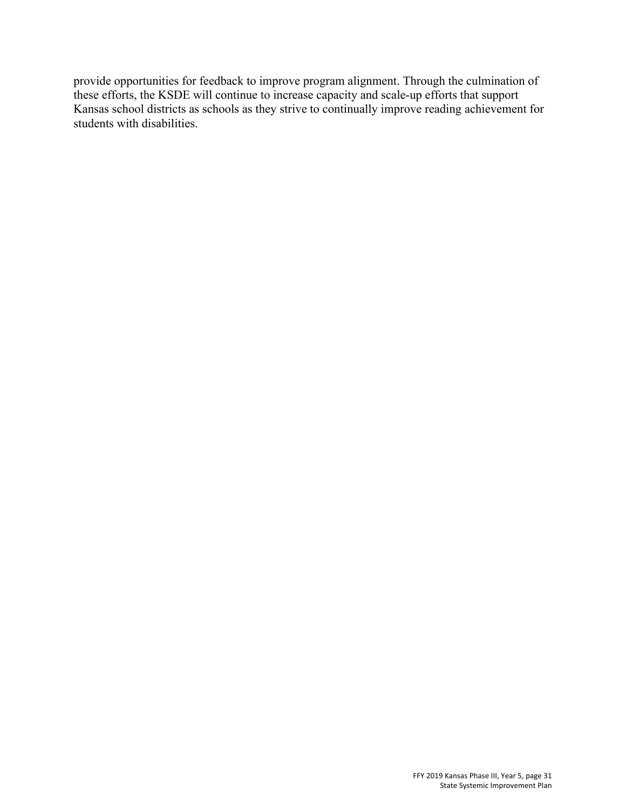provide opportunities for feedback to improve program alignment. Through the culmination of these efforts, the KSDE will continue to increase capacity and scale-up efforts that support Kansas school districts as schools as they strive to continually improve reading achievement for students with disabilities.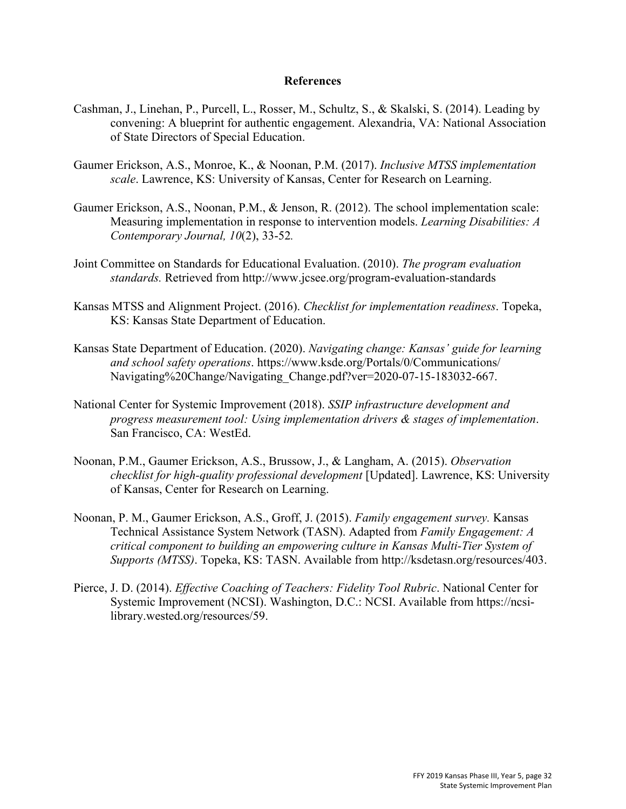#### **References**

- Cashman, J., Linehan, P., Purcell, L., Rosser, M., Schultz, S., & Skalski, S. (2014). Leading by convening: A blueprint for authentic engagement. Alexandria, VA: National Association of State Directors of Special Education.
- Gaumer Erickson, A.S., Monroe, K., & Noonan, P.M. (2017). *Inclusive MTSS implementation scale*. Lawrence, KS: University of Kansas, Center for Research on Learning.
- Gaumer Erickson, A.S., Noonan, P.M., & Jenson, R. (2012). The school implementation scale: Measuring implementation in response to intervention models. *Learning Disabilities: A Contemporary Journal, 10*(2), 33-52*.*
- Joint Committee on Standards for Educational Evaluation. (2010). *The program evaluation standards.* Retrieved from<http://www.jcsee.org/program-evaluation-standards>
- Kansas MTSS and Alignment Project. (2016). *Checklist for implementation readiness*. Topeka, KS: Kansas State Department of Education.
- Kansas State Department of Education. (2020). *Navigating change: Kansas' guide for learning and school safety operations*. https://www.ksde.org/Portals/0/Communications/ Navigating%20Change/Navigating\_Change.pdf?ver=2020-07-15-183032-667.
- National Center for Systemic Improvement (2018). *SSIP infrastructure development and progress measurement tool: Using implementation drivers & stages of implementation*. San Francisco, CA: WestEd.
- Noonan, P.M., Gaumer Erickson, A.S., Brussow, J., & Langham, A. (2015). *Observation checklist for high-quality professional development* [Updated]. Lawrence, KS: University of Kansas, Center for Research on Learning.
- Noonan, P. M., Gaumer Erickson, A.S., Groff, J. (2015). *Family engagement survey.* Kansas Technical Assistance System Network (TASN). Adapted from *Family Engagement: A critical component to building an empowering culture in Kansas Multi-Tier System of Supports (MTSS)*. Topeka, KS: TASN. Available from [http://ksdetasn.org/resources/403.](http://ksdetasn.org/resources/403)
- Pierce, J. D. (2014). *Effective Coaching of Teachers: Fidelity Tool Rubric*. National Center for Systemic Improvement (NCSI). Washington, D.C.: NCSI. Available from https://ncsilibrary.wested.org/resources/59.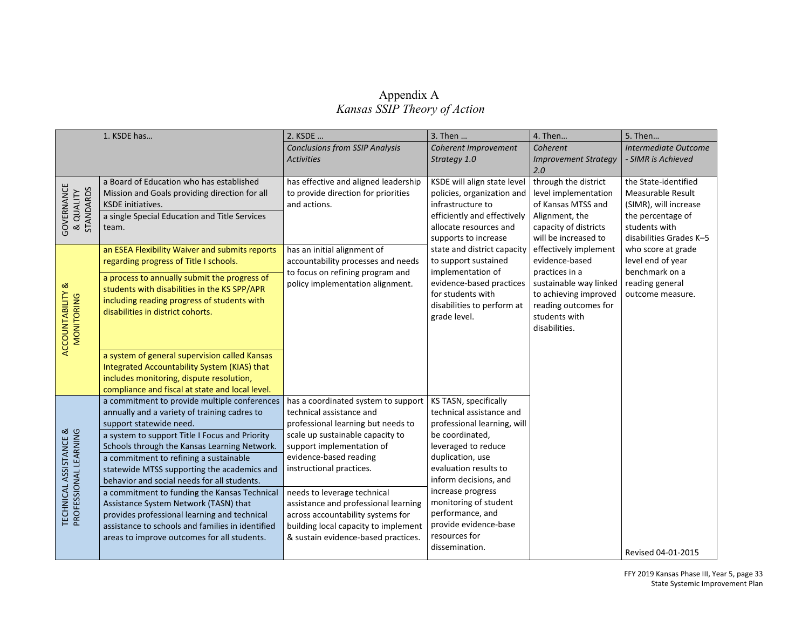## Appendix A  *Kansas SSIP Theory of Action*

|                                                 | 1. KSDE has                                                                                      | 2. KSDE                                                                   | 3. Then                                             | 4. Then                                       | 5. Then                                       |
|-------------------------------------------------|--------------------------------------------------------------------------------------------------|---------------------------------------------------------------------------|-----------------------------------------------------|-----------------------------------------------|-----------------------------------------------|
|                                                 |                                                                                                  | <b>Conclusions from SSIP Analysis</b>                                     | Coherent Improvement                                | Coherent                                      | Intermediate Outcome                          |
|                                                 |                                                                                                  | <b>Activities</b>                                                         | Strategy 1.0                                        | <b>Improvement Strategy</b>                   | - SIMR is Achieved                            |
|                                                 |                                                                                                  |                                                                           |                                                     | 2.0                                           |                                               |
|                                                 | a Board of Education who has established                                                         | has effective and aligned leadership                                      | KSDE will align state level                         | through the district                          | the State-identified                          |
|                                                 | Mission and Goals providing direction for all                                                    | to provide direction for priorities                                       | policies, organization and                          | level implementation                          | Measurable Result                             |
|                                                 | <b>KSDE</b> initiatives.                                                                         | and actions.                                                              | infrastructure to                                   | of Kansas MTSS and                            | (SIMR), will increase                         |
|                                                 | a single Special Education and Title Services                                                    |                                                                           | efficiently and effectively                         | Alignment, the                                | the percentage of                             |
| GOVERNANCE<br>& QUALITY<br>STANDARDS            | team.                                                                                            |                                                                           | allocate resources and                              | capacity of districts                         | students with                                 |
|                                                 | an ESEA Flexibility Waiver and submits reports                                                   | has an initial alignment of                                               | supports to increase<br>state and district capacity | will be increased to<br>effectively implement | disabilities Grades K-5<br>who score at grade |
|                                                 | regarding progress of Title I schools.                                                           | accountability processes and needs                                        | to support sustained                                | evidence-based                                | level end of year                             |
|                                                 |                                                                                                  | to focus on refining program and                                          | implementation of                                   | practices in a                                | benchmark on a                                |
|                                                 | a process to annually submit the progress of                                                     | policy implementation alignment.                                          | evidence-based practices                            | sustainable way linked                        | reading general                               |
|                                                 | students with disabilities in the KS SPP/APR                                                     |                                                                           | for students with                                   | to achieving improved                         | outcome measure.                              |
|                                                 | including reading progress of students with                                                      |                                                                           | disabilities to perform at                          | reading outcomes for                          |                                               |
|                                                 | disabilities in district cohorts.                                                                |                                                                           | grade level.                                        | students with                                 |                                               |
|                                                 |                                                                                                  |                                                                           |                                                     | disabilities.                                 |                                               |
| <b>ACCOUNTABILITY &amp;</b><br>MONITORING       |                                                                                                  |                                                                           |                                                     |                                               |                                               |
|                                                 | a system of general supervision called Kansas                                                    |                                                                           |                                                     |                                               |                                               |
|                                                 | Integrated Accountability System (KIAS) that                                                     |                                                                           |                                                     |                                               |                                               |
|                                                 | includes monitoring, dispute resolution,                                                         |                                                                           |                                                     |                                               |                                               |
|                                                 | compliance and fiscal at state and local level.                                                  |                                                                           |                                                     |                                               |                                               |
|                                                 | a commitment to provide multiple conferences                                                     | has a coordinated system to support                                       | KS TASN, specifically                               |                                               |                                               |
|                                                 | annually and a variety of training cadres to                                                     | technical assistance and                                                  | technical assistance and                            |                                               |                                               |
|                                                 | support statewide need.                                                                          | professional learning but needs to                                        | professional learning, will                         |                                               |                                               |
| TECHNICAL ASSISTANCE &<br>PROFESSIONAL LEARNING | a system to support Title I Focus and Priority                                                   | scale up sustainable capacity to                                          | be coordinated,                                     |                                               |                                               |
|                                                 | Schools through the Kansas Learning Network.                                                     | support implementation of                                                 | leveraged to reduce                                 |                                               |                                               |
|                                                 | a commitment to refining a sustainable                                                           | evidence-based reading                                                    | duplication, use                                    |                                               |                                               |
|                                                 | statewide MTSS supporting the academics and                                                      | instructional practices.                                                  | evaluation results to                               |                                               |                                               |
|                                                 | behavior and social needs for all students.                                                      |                                                                           | inform decisions, and                               |                                               |                                               |
|                                                 | a commitment to funding the Kansas Technical                                                     | needs to leverage technical                                               | increase progress<br>monitoring of student          |                                               |                                               |
|                                                 | Assistance System Network (TASN) that                                                            | assistance and professional learning                                      | performance, and                                    |                                               |                                               |
|                                                 | provides professional learning and technical<br>assistance to schools and families in identified | across accountability systems for<br>building local capacity to implement | provide evidence-base                               |                                               |                                               |
|                                                 | areas to improve outcomes for all students.                                                      | & sustain evidence-based practices.                                       | resources for                                       |                                               |                                               |
|                                                 |                                                                                                  |                                                                           | dissemination.                                      |                                               |                                               |
|                                                 |                                                                                                  |                                                                           |                                                     |                                               | Revised 04-01-2015                            |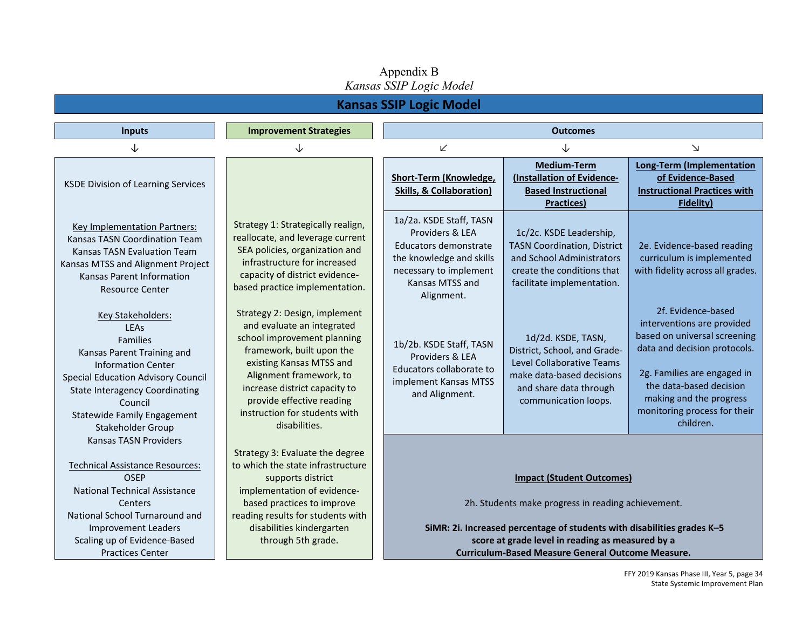#### **Kansas SSIP Logic Model Imputs IMPROVEMENT Strategies Intervent Strategies Intervent Controller Controller Controller Controller Controller Controller Controller Controller Controller Controller Controller Controller Controller Controller Cont** ↓ ↓ ↙ ↓ ↘ KSDE Division of Learning Services Strategy 1: Strategically realign, reallocate, and leverage current SEA policies, organization and infrastructure for increased capacity of district evidencebased practice implementation. **Short-Term (Knowledge, Skills, & Collaboration) Medium-Term (Installation of Evidence-Based Instructional Practices) Long-Term (Implementation of Evidence-Based Instructional Practices with Fidelity)**  Key Implementation Partners: Kansas TASN Coordination Team Kansas TASN Evaluation Team Kansas MTSS and Alignment Project Kansas Parent Information Resource Center 1a/2a. KSDE Staff, TASN Providers & LEA Educators demonstrate the knowledge and skills necessary to implement Kansas MTSS and Alignment. 1c/2c. KSDE Leadership, TASN Coordination, District and School Administrators create the conditions that facilitate implementation. 2e. Evidence-based reading curriculum is implemented with fidelity across all grades. Key Stakeholders: LEAs Families Kansas Parent Training and Information Center Special Education Advisory Council State Interagency Coordinating Council Statewide Family Engagement Stakeholder Group Strategy 2: Design, implement and evaluate an integrated school improvement planning framework, built upon the existing Kansas MTSS and Alignment framework, to increase district capacity to provide effective reading instruction for students with disabilities. 1b/2b. KSDE Staff, TASN Providers & LEA Educators collaborate to implement Kansas MTSS and Alignment. 1d/2d. KSDE, TASN, District, School, and Grade-Level Collaborative Teams make data-based decisions and share data through communication loops. 2f. Evidence-based interventions are provided based on universal screening data and decision protocols. 2g. Families are engaged in the data-based decision making and the progress monitoring process for their children. Kansas TASN Providers Technical Assistance Resources: OSEP National Technical Assistance **Centers** National School Turnaround and Improvement Leaders Scaling up of Evidence-Based Strategy 3: Evaluate the degree to which the state infrastructure supports district implementation of evidencebased practices to improve reading results for students with disabilities kindergarten through 5th grade. **Impact (Student Outcomes)** 2h. Students make progress in reading achievement.  **SiMR: 2i. Increased percentage of students with disabilities grades K–5 score at grade level in reading as measured by a**

Practices Center

# Appendix B *Kansas SSIP Logic Model*

**Curriculum-Based Measure General Outcome Measure.**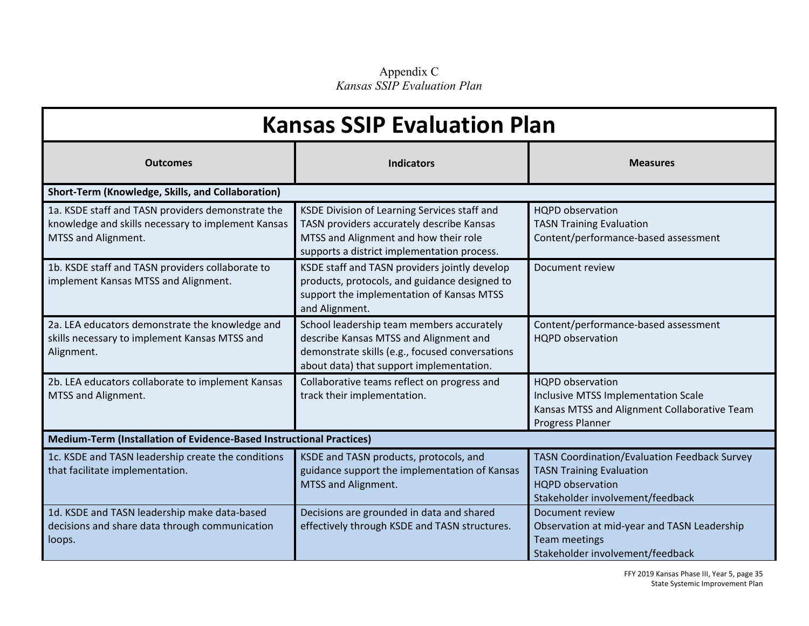Appendix C *Kansas SSIP Evaluation Plan* 

| <b>Kansas SSIP Evaluation Plan</b>                                                                                             |                                                                                                                                                                                    |                                                                                                                                                       |  |  |
|--------------------------------------------------------------------------------------------------------------------------------|------------------------------------------------------------------------------------------------------------------------------------------------------------------------------------|-------------------------------------------------------------------------------------------------------------------------------------------------------|--|--|
| <b>Outcomes</b>                                                                                                                | <b>Indicators</b>                                                                                                                                                                  | <b>Measures</b>                                                                                                                                       |  |  |
| Short-Term (Knowledge, Skills, and Collaboration)                                                                              |                                                                                                                                                                                    |                                                                                                                                                       |  |  |
| 1a. KSDE staff and TASN providers demonstrate the<br>knowledge and skills necessary to implement Kansas<br>MTSS and Alignment. | KSDE Division of Learning Services staff and<br>TASN providers accurately describe Kansas<br>MTSS and Alignment and how their role<br>supports a district implementation process.  | HQPD observation<br><b>TASN Training Evaluation</b><br>Content/performance-based assessment                                                           |  |  |
| 1b. KSDE staff and TASN providers collaborate to<br>implement Kansas MTSS and Alignment.                                       | KSDE staff and TASN providers jointly develop<br>products, protocols, and guidance designed to<br>support the implementation of Kansas MTSS<br>and Alignment.                      | Document review                                                                                                                                       |  |  |
| 2a. LEA educators demonstrate the knowledge and<br>skills necessary to implement Kansas MTSS and<br>Alignment.                 | School leadership team members accurately<br>describe Kansas MTSS and Alignment and<br>demonstrate skills (e.g., focused conversations<br>about data) that support implementation. | Content/performance-based assessment<br><b>HQPD</b> observation                                                                                       |  |  |
| 2b. LEA educators collaborate to implement Kansas<br>MTSS and Alignment.                                                       | Collaborative teams reflect on progress and<br>track their implementation.                                                                                                         | <b>HQPD</b> observation<br>Inclusive MTSS Implementation Scale<br>Kansas MTSS and Alignment Collaborative Team<br>Progress Planner                    |  |  |
| Medium-Term (Installation of Evidence-Based Instructional Practices)                                                           |                                                                                                                                                                                    |                                                                                                                                                       |  |  |
| 1c. KSDE and TASN leadership create the conditions<br>that facilitate implementation.                                          | KSDE and TASN products, protocols, and<br>guidance support the implementation of Kansas<br>MTSS and Alignment.                                                                     | <b>TASN Coordination/Evaluation Feedback Survey</b><br><b>TASN Training Evaluation</b><br><b>HQPD</b> observation<br>Stakeholder involvement/feedback |  |  |
| 1d. KSDE and TASN leadership make data-based<br>decisions and share data through communication<br>loops.                       | Decisions are grounded in data and shared<br>effectively through KSDE and TASN structures.                                                                                         | Document review<br>Observation at mid-year and TASN Leadership<br><b>Team meetings</b><br>Stakeholder involvement/feedback                            |  |  |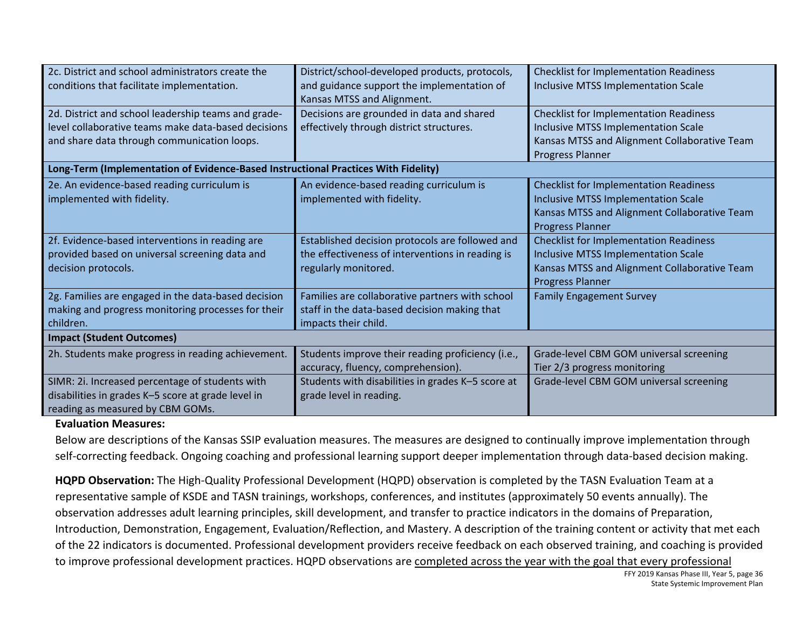| 2c. District and school administrators create the<br>conditions that facilitate implementation.                                                           | District/school-developed products, protocols,<br>and guidance support the implementation of<br>Kansas MTSS and Alignment.  | <b>Checklist for Implementation Readiness</b><br>Inclusive MTSS Implementation Scale                                                                                   |  |  |
|-----------------------------------------------------------------------------------------------------------------------------------------------------------|-----------------------------------------------------------------------------------------------------------------------------|------------------------------------------------------------------------------------------------------------------------------------------------------------------------|--|--|
| 2d. District and school leadership teams and grade-<br>level collaborative teams make data-based decisions<br>and share data through communication loops. | Decisions are grounded in data and shared<br>effectively through district structures.                                       | <b>Checklist for Implementation Readiness</b><br>Inclusive MTSS Implementation Scale<br>Kansas MTSS and Alignment Collaborative Team<br>Progress Planner               |  |  |
| Long-Term (Implementation of Evidence-Based Instructional Practices With Fidelity)                                                                        |                                                                                                                             |                                                                                                                                                                        |  |  |
| 2e. An evidence-based reading curriculum is<br>implemented with fidelity.                                                                                 | An evidence-based reading curriculum is<br>implemented with fidelity.                                                       | <b>Checklist for Implementation Readiness</b><br><b>Inclusive MTSS Implementation Scale</b><br>Kansas MTSS and Alignment Collaborative Team<br><b>Progress Planner</b> |  |  |
| 2f. Evidence-based interventions in reading are<br>provided based on universal screening data and<br>decision protocols.                                  | Established decision protocols are followed and<br>the effectiveness of interventions in reading is<br>regularly monitored. | <b>Checklist for Implementation Readiness</b><br><b>Inclusive MTSS Implementation Scale</b><br>Kansas MTSS and Alignment Collaborative Team<br><b>Progress Planner</b> |  |  |
| 2g. Families are engaged in the data-based decision<br>making and progress monitoring processes for their<br>children.                                    | Families are collaborative partners with school<br>staff in the data-based decision making that<br>impacts their child.     | <b>Family Engagement Survey</b>                                                                                                                                        |  |  |
| <b>Impact (Student Outcomes)</b>                                                                                                                          |                                                                                                                             |                                                                                                                                                                        |  |  |
| 2h. Students make progress in reading achievement.                                                                                                        | Students improve their reading proficiency (i.e.,<br>accuracy, fluency, comprehension).                                     | Grade-level CBM GOM universal screening<br>Tier 2/3 progress monitoring                                                                                                |  |  |
| SIMR: 2i. Increased percentage of students with<br>disabilities in grades K-5 score at grade level in<br>reading as measured by CBM GOMs.                 | Students with disabilities in grades K-5 score at<br>grade level in reading.                                                | Grade-level CBM GOM universal screening                                                                                                                                |  |  |

#### **Evaluation Measures:**

Below are descriptions of the Kansas SSIP evaluation measures. The measures are designed to continually improve implementation through self-correcting feedback. Ongoing coaching and professional learning support deeper implementation through data-based decision making.

**HQPD Observation:** The High-Quality Professional Development (HQPD) observation is completed by the TASN Evaluation Team at a representative sample of KSDE and TASN trainings, workshops, conferences, and institutes (approximately 50 events annually). The observation addresses adult learning principles, skill development, and transfer to practice indicators in the domains of Preparation, Introduction, Demonstration, Engagement, Evaluation/Reflection, and Mastery. A description of the training content or activity that met each of the 22 indicators is documented. Professional development providers receive feedback on each observed training, and coaching is provided to improve professional development practices. HQPD observations are completed across the year with the goal that every professional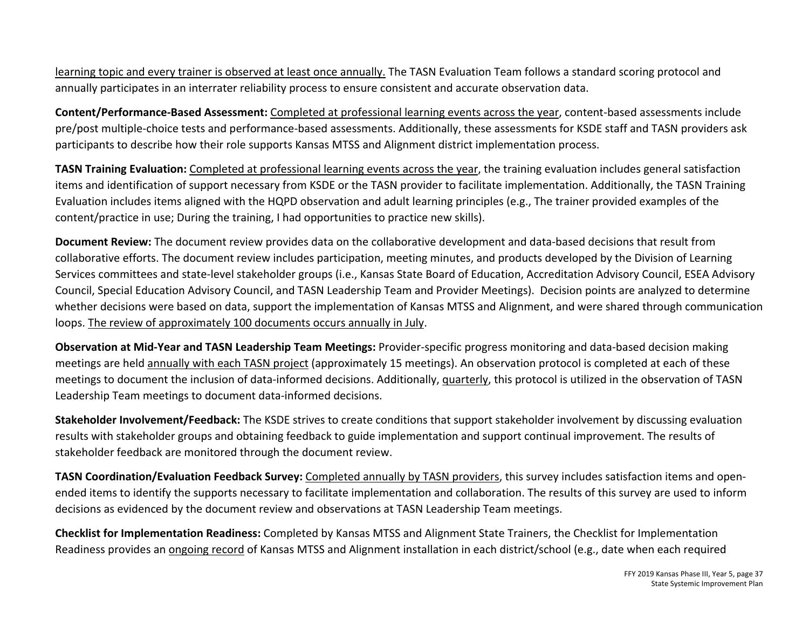learning topic and every trainer is observed at least once annually. The TASN Evaluation Team follows a standard scoring protocol and annually participates in an interrater reliability process to ensure consistent and accurate observation data.

**Content/Performance-Based Assessment:** Completed at professional learning events across the year, content-based assessments include pre/post multiple-choice tests and performance-based assessments. Additionally, these assessments for KSDE staff and TASN providers ask participants to describe how their role supports Kansas MTSS and Alignment district implementation process.

**TASN Training Evaluation:** Completed at professional learning events across the year, the training evaluation includes general satisfaction items and identification of support necessary from KSDE or the TASN provider to facilitate implementation. Additionally, the TASN Training Evaluation includes items aligned with the HQPD observation and adult learning principles (e.g., The trainer provided examples of the content/practice in use; During the training, I had opportunities to practice new skills).

**Document Review:** The document review provides data on the collaborative development and data-based decisions that result from collaborative efforts. The document review includes participation, meeting minutes, and products developed by the Division of Learning Services committees and state-level stakeholder groups (i.e., Kansas State Board of Education, Accreditation Advisory Council, ESEA Advisory Council, Special Education Advisory Council, and TASN Leadership Team and Provider Meetings). Decision points are analyzed to determine whether decisions were based on data, support the implementation of Kansas MTSS and Alignment, and were shared through communication loops. The review of approximately 100 documents occurs annually in July.

**Observation at Mid-Year and TASN Leadership Team Meetings:** Provider-specific progress monitoring and data-based decision making meetings are held annually with each TASN project (approximately 15 meetings). An observation protocol is completed at each of these meetings to document the inclusion of data-informed decisions. Additionally, quarterly, this protocol is utilized in the observation of TASN Leadership Team meetings to document data-informed decisions.

**Stakeholder Involvement/Feedback:** The KSDE strives to create conditions that support stakeholder involvement by discussing evaluation results with stakeholder groups and obtaining feedback to guide implementation and support continual improvement. The results of stakeholder feedback are monitored through the document review.

**TASN Coordination/Evaluation Feedback Survey:** Completed annually by TASN providers, this survey includes satisfaction items and openended items to identify the supports necessary to facilitate implementation and collaboration. The results of this survey are used to inform decisions as evidenced by the document review and observations at TASN Leadership Team meetings.

**Checklist for Implementation Readiness:** Completed by Kansas MTSS and Alignment State Trainers, the Checklist for Implementation Readiness provides an ongoing record of Kansas MTSS and Alignment installation in each district/school (e.g., date when each required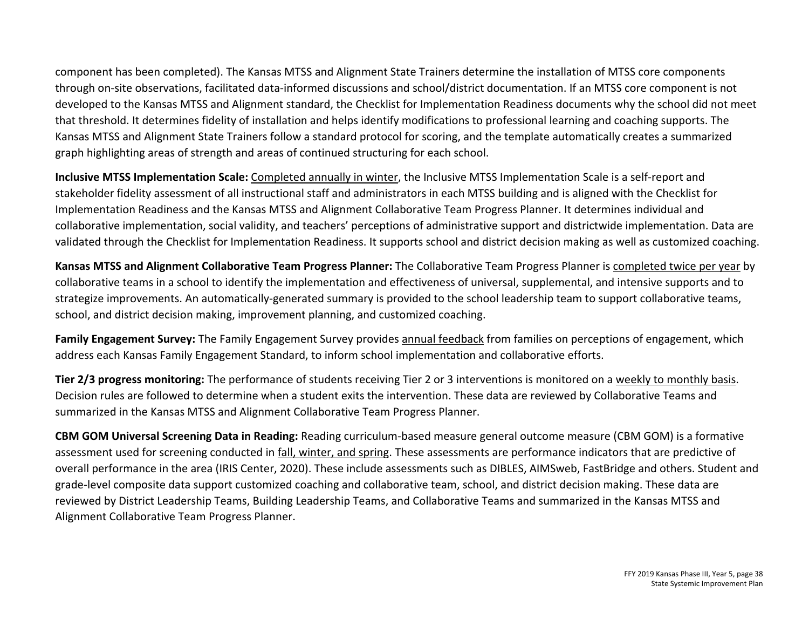component has been completed). The Kansas MTSS and Alignment State Trainers determine the installation of MTSS core components through on-site observations, facilitated data-informed discussions and school/district documentation. If an MTSS core component is not developed to the Kansas MTSS and Alignment standard, the Checklist for Implementation Readiness documents why the school did not meet that threshold. It determines fidelity of installation and helps identify modifications to professional learning and coaching supports. The Kansas MTSS and Alignment State Trainers follow a standard protocol for scoring, and the template automatically creates a summarized graph highlighting areas of strength and areas of continued structuring for each school.

**Inclusive MTSS Implementation Scale:** Completed annually in winter, the Inclusive MTSS Implementation Scale is a self-report and stakeholder fidelity assessment of all instructional staff and administrators in each MTSS building and is aligned with the Checklist for Implementation Readiness and the Kansas MTSS and Alignment Collaborative Team Progress Planner. It determines individual and collaborative implementation, social validity, and teachers' perceptions of administrative support and districtwide implementation. Data are validated through the Checklist for Implementation Readiness. It supports school and district decision making as well as customized coaching.

**Kansas MTSS and Alignment Collaborative Team Progress Planner:** The Collaborative Team Progress Planner is completed twice per year by collaborative teams in a school to identify the implementation and effectiveness of universal, supplemental, and intensive supports and to strategize improvements. An automatically-generated summary is provided to the school leadership team to support collaborative teams, school, and district decision making, improvement planning, and customized coaching.

**Family Engagement Survey:** The Family Engagement Survey provides annual feedback from families on perceptions of engagement, which address each Kansas Family Engagement Standard, to inform school implementation and collaborative efforts.

**Tier 2/3 progress monitoring:** The performance of students receiving Tier 2 or 3 interventions is monitored on a weekly to monthly basis. Decision rules are followed to determine when a student exits the intervention. These data are reviewed by Collaborative Teams and summarized in the Kansas MTSS and Alignment Collaborative Team Progress Planner.

**CBM GOM Universal Screening Data in Reading:** Reading curriculum-based measure general outcome measure (CBM GOM) is a formative assessment used for screening conducted in fall, winter, and spring. These assessments are performance indicators that are predictive of overall performance in the area (IRIS Center, 2020). These include assessments such as DIBLES, AIMSweb, FastBridge and others. Student and grade-level composite data support customized coaching and collaborative team, school, and district decision making. These data are reviewed by District Leadership Teams, Building Leadership Teams, and Collaborative Teams and summarized in the Kansas MTSS and Alignment Collaborative Team Progress Planner.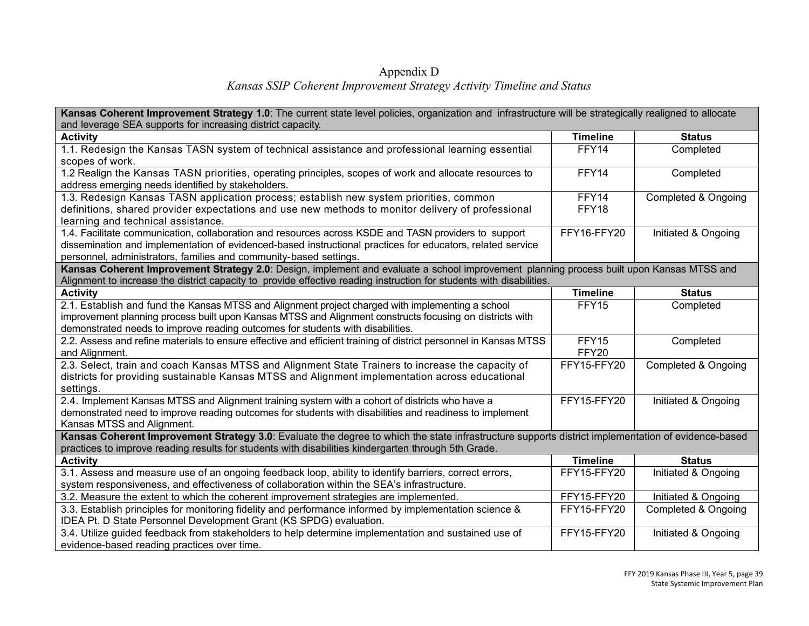#### Appendix D *Kansas SSIP Coherent Improvement Strategy Activity Timeline and Status*

| and leverage SEA supports for increasing district capacity.<br><b>Timeline</b><br><b>Activity</b><br><b>Status</b>                                                                                                          |  |  |  |  |
|-----------------------------------------------------------------------------------------------------------------------------------------------------------------------------------------------------------------------------|--|--|--|--|
|                                                                                                                                                                                                                             |  |  |  |  |
|                                                                                                                                                                                                                             |  |  |  |  |
| 1.1. Redesign the Kansas TASN system of technical assistance and professional learning essential<br>FFY14<br>Completed                                                                                                      |  |  |  |  |
| scopes of work.                                                                                                                                                                                                             |  |  |  |  |
| 1.2 Realign the Kansas TASN priorities, operating principles, scopes of work and allocate resources to<br>FFY14<br>Completed                                                                                                |  |  |  |  |
| address emerging needs identified by stakeholders.                                                                                                                                                                          |  |  |  |  |
| 1.3. Redesign Kansas TASN application process; establish new system priorities, common<br>FFY14<br><b>Completed &amp; Ongoing</b>                                                                                           |  |  |  |  |
| definitions, shared provider expectations and use new methods to monitor delivery of professional<br>FFY18                                                                                                                  |  |  |  |  |
| learning and technical assistance.                                                                                                                                                                                          |  |  |  |  |
| 1.4. Facilitate communication, collaboration and resources across KSDE and TASN providers to support<br>FFY16-FFY20<br>Initiated & Ongoing                                                                                  |  |  |  |  |
| dissemination and implementation of evidenced-based instructional practices for educators, related service                                                                                                                  |  |  |  |  |
| personnel, administrators, families and community-based settings.                                                                                                                                                           |  |  |  |  |
| Kansas Coherent Improvement Strategy 2.0: Design, implement and evaluate a school improvement planning process built upon Kansas MTSS and                                                                                   |  |  |  |  |
| Alignment to increase the district capacity to provide effective reading instruction for students with disabilities.                                                                                                        |  |  |  |  |
| <b>Activity</b><br><b>Timeline</b><br><b>Status</b>                                                                                                                                                                         |  |  |  |  |
| 2.1. Establish and fund the Kansas MTSS and Alignment project charged with implementing a school<br>FFY15<br>Completed                                                                                                      |  |  |  |  |
| improvement planning process built upon Kansas MTSS and Alignment constructs focusing on districts with                                                                                                                     |  |  |  |  |
| demonstrated needs to improve reading outcomes for students with disabilities.                                                                                                                                              |  |  |  |  |
| FFY15<br>2.2. Assess and refine materials to ensure effective and efficient training of district personnel in Kansas MTSS<br>Completed                                                                                      |  |  |  |  |
| FFY20<br>and Alignment.                                                                                                                                                                                                     |  |  |  |  |
| 2.3. Select, train and coach Kansas MTSS and Alignment State Trainers to increase the capacity of<br>FFY15-FFY20<br>Completed & Ongoing                                                                                     |  |  |  |  |
| districts for providing sustainable Kansas MTSS and Alignment implementation across educational                                                                                                                             |  |  |  |  |
| settings.                                                                                                                                                                                                                   |  |  |  |  |
| 2.4. Implement Kansas MTSS and Alignment training system with a cohort of districts who have a<br>FFY15-FFY20<br>Initiated & Ongoing                                                                                        |  |  |  |  |
| demonstrated need to improve reading outcomes for students with disabilities and readiness to implement                                                                                                                     |  |  |  |  |
| Kansas MTSS and Alignment.                                                                                                                                                                                                  |  |  |  |  |
| Kansas Coherent Improvement Strategy 3.0: Evaluate the degree to which the state infrastructure supports district implementation of evidence-based                                                                          |  |  |  |  |
| practices to improve reading results for students with disabilities kindergarten through 5th Grade.<br><b>Timeline</b><br><b>Activity</b><br><b>Status</b>                                                                  |  |  |  |  |
| FFY15-FFY20                                                                                                                                                                                                                 |  |  |  |  |
| 3.1. Assess and measure use of an ongoing feedback loop, ability to identify barriers, correct errors,<br>Initiated & Ongoing<br>system responsiveness, and effectiveness of collaboration within the SEA's infrastructure. |  |  |  |  |
| 3.2. Measure the extent to which the coherent improvement strategies are implemented.<br>FFY15-FFY20<br>Initiated & Ongoing                                                                                                 |  |  |  |  |
| 3.3. Establish principles for monitoring fidelity and performance informed by implementation science &<br>FFY15-FFY20<br>Completed & Ongoing                                                                                |  |  |  |  |
| IDEA Pt. D State Personnel Development Grant (KS SPDG) evaluation.                                                                                                                                                          |  |  |  |  |
| 3.4. Utilize guided feedback from stakeholders to help determine implementation and sustained use of<br>FFY15-FFY20<br>Initiated & Ongoing                                                                                  |  |  |  |  |
| evidence-based reading practices over time.                                                                                                                                                                                 |  |  |  |  |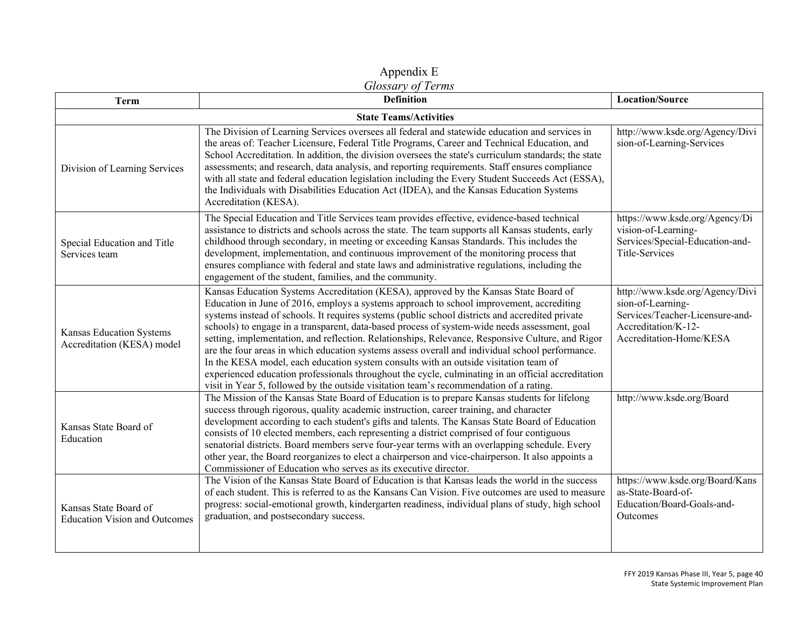#### Appendix E *Glossary of Terms*

| <b>Term</b>                                                   | <b>Definition</b>                                                                                                                                                                                                                                                                                                                                                                                                                                                                                                                                                                                                                                                                                                                                                                                                                                                                   | <b>Location/Source</b>                                                                                                                    |  |
|---------------------------------------------------------------|-------------------------------------------------------------------------------------------------------------------------------------------------------------------------------------------------------------------------------------------------------------------------------------------------------------------------------------------------------------------------------------------------------------------------------------------------------------------------------------------------------------------------------------------------------------------------------------------------------------------------------------------------------------------------------------------------------------------------------------------------------------------------------------------------------------------------------------------------------------------------------------|-------------------------------------------------------------------------------------------------------------------------------------------|--|
| <b>State Teams/Activities</b>                                 |                                                                                                                                                                                                                                                                                                                                                                                                                                                                                                                                                                                                                                                                                                                                                                                                                                                                                     |                                                                                                                                           |  |
| Division of Learning Services                                 | The Division of Learning Services oversees all federal and statewide education and services in<br>the areas of: Teacher Licensure, Federal Title Programs, Career and Technical Education, and<br>School Accreditation. In addition, the division oversees the state's curriculum standards; the state<br>assessments; and research, data analysis, and reporting requirements. Staff ensures compliance<br>with all state and federal education legislation including the Every Student Succeeds Act (ESSA),<br>the Individuals with Disabilities Education Act (IDEA), and the Kansas Education Systems<br>Accreditation (KESA).                                                                                                                                                                                                                                                  | http://www.ksde.org/Agency/Divi<br>sion-of-Learning-Services                                                                              |  |
| Special Education and Title<br>Services team                  | The Special Education and Title Services team provides effective, evidence-based technical<br>assistance to districts and schools across the state. The team supports all Kansas students, early<br>childhood through secondary, in meeting or exceeding Kansas Standards. This includes the<br>development, implementation, and continuous improvement of the monitoring process that<br>ensures compliance with federal and state laws and administrative regulations, including the<br>engagement of the student, families, and the community.                                                                                                                                                                                                                                                                                                                                   | https://www.ksde.org/Agency/Di<br>vision-of-Learning-<br>Services/Special-Education-and-<br>Title-Services                                |  |
| Kansas Education Systems<br>Accreditation (KESA) model        | Kansas Education Systems Accreditation (KESA), approved by the Kansas State Board of<br>Education in June of 2016, employs a systems approach to school improvement, accrediting<br>systems instead of schools. It requires systems (public school districts and accredited private<br>schools) to engage in a transparent, data-based process of system-wide needs assessment, goal<br>setting, implementation, and reflection. Relationships, Relevance, Responsive Culture, and Rigor<br>are the four areas in which education systems assess overall and individual school performance.<br>In the KESA model, each education system consults with an outside visitation team of<br>experienced education professionals throughout the cycle, culminating in an official accreditation<br>visit in Year 5, followed by the outside visitation team's recommendation of a rating. | http://www.ksde.org/Agency/Divi<br>sion-of-Learning-<br>Services/Teacher-Licensure-and-<br>Accreditation/K-12-<br>Accreditation-Home/KESA |  |
| Kansas State Board of<br>Education                            | The Mission of the Kansas State Board of Education is to prepare Kansas students for lifelong<br>success through rigorous, quality academic instruction, career training, and character<br>development according to each student's gifts and talents. The Kansas State Board of Education<br>consists of 10 elected members, each representing a district comprised of four contiguous<br>senatorial districts. Board members serve four-year terms with an overlapping schedule. Every<br>other year, the Board reorganizes to elect a chairperson and vice-chairperson. It also appoints a<br>Commissioner of Education who serves as its executive director.                                                                                                                                                                                                                     | http://www.ksde.org/Board                                                                                                                 |  |
| Kansas State Board of<br><b>Education Vision and Outcomes</b> | The Vision of the Kansas State Board of Education is that Kansas leads the world in the success<br>of each student. This is referred to as the Kansans Can Vision. Five outcomes are used to measure<br>progress: social-emotional growth, kindergarten readiness, individual plans of study, high school<br>graduation, and postsecondary success.                                                                                                                                                                                                                                                                                                                                                                                                                                                                                                                                 | https://www.ksde.org/Board/Kans<br>as-State-Board-of-<br>Education/Board-Goals-and-<br>Outcomes                                           |  |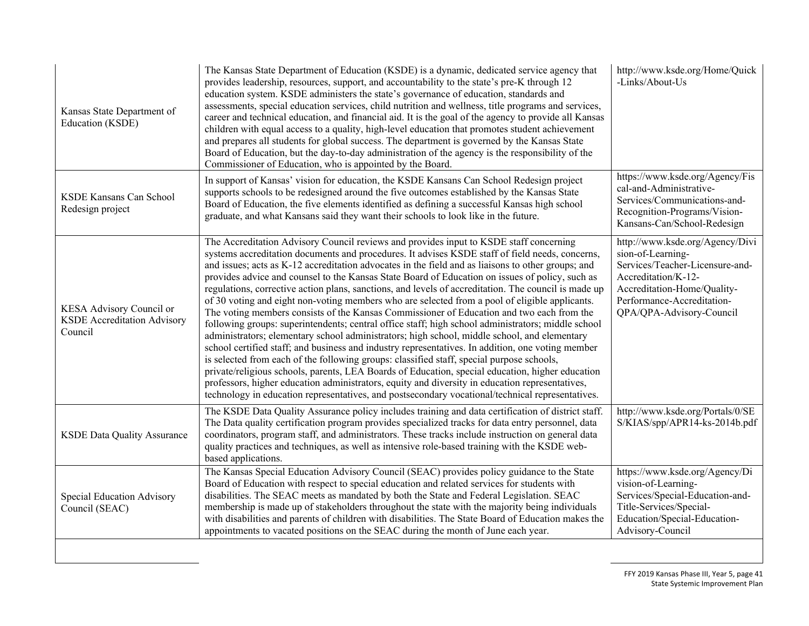| Kansas State Department of<br>Education (KSDE)                            | The Kansas State Department of Education (KSDE) is a dynamic, dedicated service agency that<br>provides leadership, resources, support, and accountability to the state's pre-K through 12<br>education system. KSDE administers the state's governance of education, standards and<br>assessments, special education services, child nutrition and wellness, title programs and services,<br>career and technical education, and financial aid. It is the goal of the agency to provide all Kansas<br>children with equal access to a quality, high-level education that promotes student achievement<br>and prepares all students for global success. The department is governed by the Kansas State<br>Board of Education, but the day-to-day administration of the agency is the responsibility of the<br>Commissioner of Education, who is appointed by the Board.                                                                                                                                                                                                                                                                                                                                                                                                                                                                                                                                                      | http://www.ksde.org/Home/Quick<br>-Links/About-Us                                                                                                                                                       |
|---------------------------------------------------------------------------|------------------------------------------------------------------------------------------------------------------------------------------------------------------------------------------------------------------------------------------------------------------------------------------------------------------------------------------------------------------------------------------------------------------------------------------------------------------------------------------------------------------------------------------------------------------------------------------------------------------------------------------------------------------------------------------------------------------------------------------------------------------------------------------------------------------------------------------------------------------------------------------------------------------------------------------------------------------------------------------------------------------------------------------------------------------------------------------------------------------------------------------------------------------------------------------------------------------------------------------------------------------------------------------------------------------------------------------------------------------------------------------------------------------------------|---------------------------------------------------------------------------------------------------------------------------------------------------------------------------------------------------------|
| <b>KSDE Kansans Can School</b><br>Redesign project                        | In support of Kansas' vision for education, the KSDE Kansans Can School Redesign project<br>supports schools to be redesigned around the five outcomes established by the Kansas State<br>Board of Education, the five elements identified as defining a successful Kansas high school<br>graduate, and what Kansans said they want their schools to look like in the future.                                                                                                                                                                                                                                                                                                                                                                                                                                                                                                                                                                                                                                                                                                                                                                                                                                                                                                                                                                                                                                                | https://www.ksde.org/Agency/Fis<br>cal-and-Administrative-<br>Services/Communications-and-<br>Recognition-Programs/Vision-<br>Kansans-Can/School-Redesign                                               |
| KESA Advisory Council or<br><b>KSDE</b> Accreditation Advisory<br>Council | The Accreditation Advisory Council reviews and provides input to KSDE staff concerning<br>systems accreditation documents and procedures. It advises KSDE staff of field needs, concerns,<br>and issues; acts as K-12 accreditation advocates in the field and as liaisons to other groups; and<br>provides advice and counsel to the Kansas State Board of Education on issues of policy, such as<br>regulations, corrective action plans, sanctions, and levels of accreditation. The council is made up<br>of 30 voting and eight non-voting members who are selected from a pool of eligible applicants.<br>The voting members consists of the Kansas Commissioner of Education and two each from the<br>following groups: superintendents; central office staff; high school administrators; middle school<br>administrators; elementary school administrators; high school, middle school, and elementary<br>school certified staff; and business and industry representatives. In addition, one voting member<br>is selected from each of the following groups: classified staff, special purpose schools,<br>private/religious schools, parents, LEA Boards of Education, special education, higher education<br>professors, higher education administrators, equity and diversity in education representatives,<br>technology in education representatives, and postsecondary vocational/technical representatives. | http://www.ksde.org/Agency/Divi<br>sion-of-Learning-<br>Services/Teacher-Licensure-and-<br>Accreditation/K-12-<br>Accreditation-Home/Quality-<br>Performance-Accreditation-<br>QPA/QPA-Advisory-Council |
| <b>KSDE Data Quality Assurance</b>                                        | The KSDE Data Quality Assurance policy includes training and data certification of district staff.<br>The Data quality certification program provides specialized tracks for data entry personnel, data<br>coordinators, program staff, and administrators. These tracks include instruction on general data<br>quality practices and techniques, as well as intensive role-based training with the KSDE web-<br>based applications.                                                                                                                                                                                                                                                                                                                                                                                                                                                                                                                                                                                                                                                                                                                                                                                                                                                                                                                                                                                         | http://www.ksde.org/Portals/0/SE<br>S/KIAS/spp/APR14-ks-2014b.pdf                                                                                                                                       |
| Special Education Advisory<br>Council (SEAC)                              | The Kansas Special Education Advisory Council (SEAC) provides policy guidance to the State<br>Board of Education with respect to special education and related services for students with<br>disabilities. The SEAC meets as mandated by both the State and Federal Legislation. SEAC<br>membership is made up of stakeholders throughout the state with the majority being individuals<br>with disabilities and parents of children with disabilities. The State Board of Education makes the<br>appointments to vacated positions on the SEAC during the month of June each year.                                                                                                                                                                                                                                                                                                                                                                                                                                                                                                                                                                                                                                                                                                                                                                                                                                          | https://www.ksde.org/Agency/Di<br>vision-of-Learning-<br>Services/Special-Education-and-<br>Title-Services/Special-<br>Education/Special-Education-<br>Advisory-Council                                 |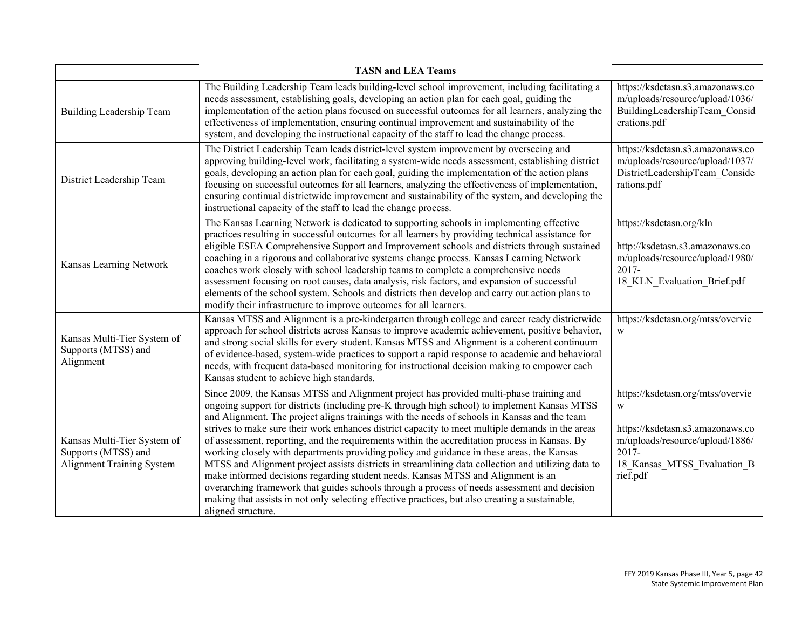| <b>TASN and LEA Teams</b>                                                              |                                                                                                                                                                                                                                                                                                                                                                                                                                                                                                                                                                                                                                                                                                                                                                                                                                                                                                                                                                                                              |                                                                                                                                                                   |  |  |
|----------------------------------------------------------------------------------------|--------------------------------------------------------------------------------------------------------------------------------------------------------------------------------------------------------------------------------------------------------------------------------------------------------------------------------------------------------------------------------------------------------------------------------------------------------------------------------------------------------------------------------------------------------------------------------------------------------------------------------------------------------------------------------------------------------------------------------------------------------------------------------------------------------------------------------------------------------------------------------------------------------------------------------------------------------------------------------------------------------------|-------------------------------------------------------------------------------------------------------------------------------------------------------------------|--|--|
| <b>Building Leadership Team</b>                                                        | The Building Leadership Team leads building-level school improvement, including facilitating a<br>needs assessment, establishing goals, developing an action plan for each goal, guiding the<br>implementation of the action plans focused on successful outcomes for all learners, analyzing the<br>effectiveness of implementation, ensuring continual improvement and sustainability of the<br>system, and developing the instructional capacity of the staff to lead the change process.                                                                                                                                                                                                                                                                                                                                                                                                                                                                                                                 | https://ksdetasn.s3.amazonaws.co<br>m/uploads/resource/upload/1036/<br>BuildingLeadershipTeam Consid<br>erations.pdf                                              |  |  |
| District Leadership Team                                                               | The District Leadership Team leads district-level system improvement by overseeing and<br>approving building-level work, facilitating a system-wide needs assessment, establishing district<br>goals, developing an action plan for each goal, guiding the implementation of the action plans<br>focusing on successful outcomes for all learners, analyzing the effectiveness of implementation,<br>ensuring continual districtwide improvement and sustainability of the system, and developing the<br>instructional capacity of the staff to lead the change process.                                                                                                                                                                                                                                                                                                                                                                                                                                     | https://ksdetasn.s3.amazonaws.co<br>m/uploads/resource/upload/1037/<br>DistrictLeadershipTeam Conside<br>rations.pdf                                              |  |  |
| Kansas Learning Network                                                                | The Kansas Learning Network is dedicated to supporting schools in implementing effective<br>practices resulting in successful outcomes for all learners by providing technical assistance for<br>eligible ESEA Comprehensive Support and Improvement schools and districts through sustained<br>coaching in a rigorous and collaborative systems change process. Kansas Learning Network<br>coaches work closely with school leadership teams to complete a comprehensive needs<br>assessment focusing on root causes, data analysis, risk factors, and expansion of successful<br>elements of the school system. Schools and districts then develop and carry out action plans to<br>modify their infrastructure to improve outcomes for all learners.                                                                                                                                                                                                                                                      | https://ksdetasn.org/kln<br>http://ksdetasn.s3.amazonaws.co<br>m/uploads/resource/upload/1980/<br>2017-<br>18 KLN Evaluation Brief.pdf                            |  |  |
| Kansas Multi-Tier System of<br>Supports (MTSS) and<br>Alignment                        | Kansas MTSS and Alignment is a pre-kindergarten through college and career ready districtwide<br>approach for school districts across Kansas to improve academic achievement, positive behavior,<br>and strong social skills for every student. Kansas MTSS and Alignment is a coherent continuum<br>of evidence-based, system-wide practices to support a rapid response to academic and behavioral<br>needs, with frequent data-based monitoring for instructional decision making to empower each<br>Kansas student to achieve high standards.                                                                                                                                                                                                                                                                                                                                                                                                                                                            | https://ksdetasn.org/mtss/overvie<br>W                                                                                                                            |  |  |
| Kansas Multi-Tier System of<br>Supports (MTSS) and<br><b>Alignment Training System</b> | Since 2009, the Kansas MTSS and Alignment project has provided multi-phase training and<br>ongoing support for districts (including pre-K through high school) to implement Kansas MTSS<br>and Alignment. The project aligns trainings with the needs of schools in Kansas and the team<br>strives to make sure their work enhances district capacity to meet multiple demands in the areas<br>of assessment, reporting, and the requirements within the accreditation process in Kansas. By<br>working closely with departments providing policy and guidance in these areas, the Kansas<br>MTSS and Alignment project assists districts in streamlining data collection and utilizing data to<br>make informed decisions regarding student needs. Kansas MTSS and Alignment is an<br>overarching framework that guides schools through a process of needs assessment and decision<br>making that assists in not only selecting effective practices, but also creating a sustainable,<br>aligned structure. | https://ksdetasn.org/mtss/overvie<br>W<br>https://ksdetasn.s3.amazonaws.co<br>m/uploads/resource/upload/1886/<br>2017-<br>18 Kansas MTSS Evaluation B<br>rief.pdf |  |  |